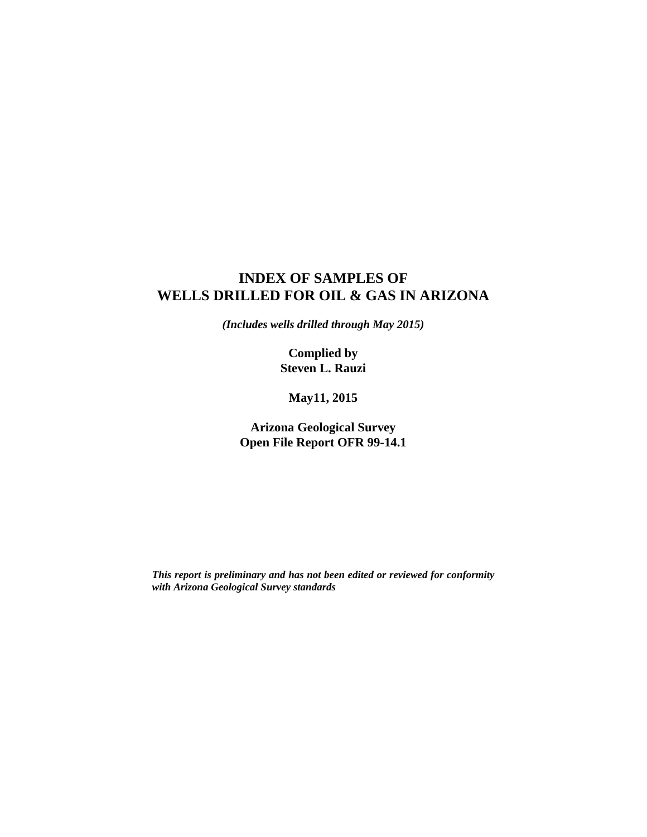# **INDEX OF SAMPLES OF WELLS DRILLED FOR OIL & GAS IN ARIZONA**

*(Includes wells drilled through May 2015)* 

**Complied by Steven L. Rauzi** 

**May11, 2015** 

**Arizona Geological Survey Open File Report OFR 99-14.1** 

*This report is preliminary and has not been edited or reviewed for conformity with Arizona Geological Survey standards*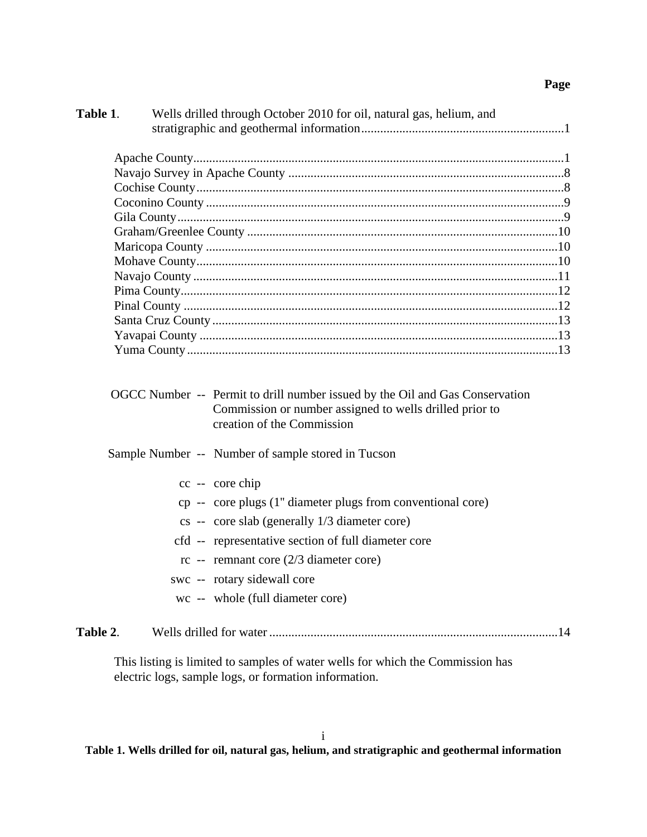## **Page**

| Table 1.<br>Wells drilled through October 2010 for oil, natural gas, helium, and                                                                                      |
|-----------------------------------------------------------------------------------------------------------------------------------------------------------------------|
|                                                                                                                                                                       |
|                                                                                                                                                                       |
|                                                                                                                                                                       |
|                                                                                                                                                                       |
|                                                                                                                                                                       |
|                                                                                                                                                                       |
|                                                                                                                                                                       |
|                                                                                                                                                                       |
|                                                                                                                                                                       |
|                                                                                                                                                                       |
|                                                                                                                                                                       |
|                                                                                                                                                                       |
|                                                                                                                                                                       |
|                                                                                                                                                                       |
| OGCC Number -- Permit to drill number issued by the Oil and Gas Conservation<br>Commission or number assigned to wells drilled prior to<br>creation of the Commission |
| Sample Number -- Number of sample stored in Tucson                                                                                                                    |
| cc -- core chip                                                                                                                                                       |
| cp -- core plugs (1" diameter plugs from conventional core)                                                                                                           |
| $cs$ -- core slab (generally $1/3$ diameter core)                                                                                                                     |
| cfd -- representative section of full diameter core                                                                                                                   |
| $rc$ -- remnant core (2/3 diameter core)                                                                                                                              |
| swc -- rotary sidewall core                                                                                                                                           |
| wc -- whole (full diameter core)                                                                                                                                      |
| Table 2.                                                                                                                                                              |

This listing is limited to samples of water wells for which the Commission has electric logs, sample logs, or formation information.

**Table 1. Wells drilled for oil, natural gas, helium, and stratigraphic and geothermal information**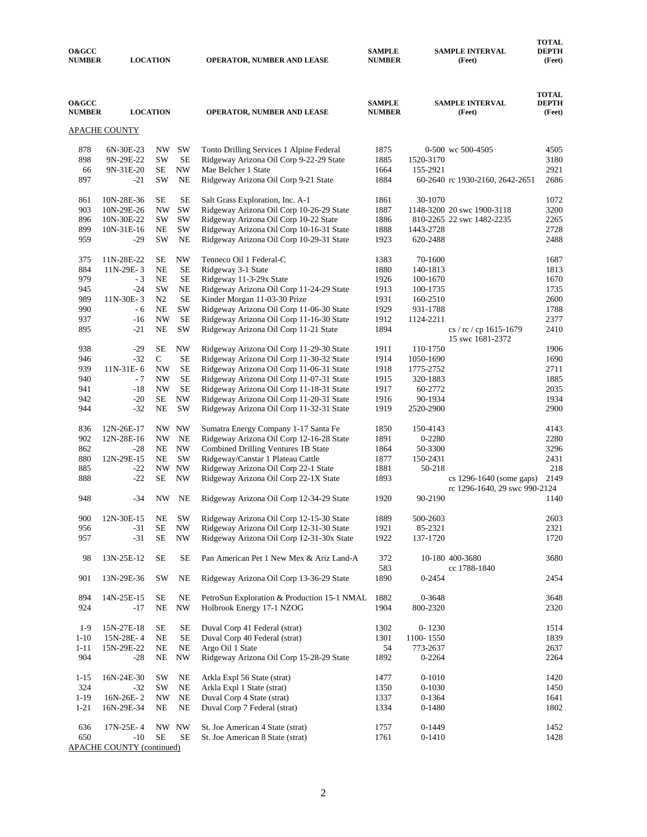| <b>O&amp;GCC</b><br><b>NUMBER</b> |                                  | <b>LOCATION</b> |                          | <b>OPERATOR, NUMBER AND LEASE</b>                                                    | <b>SAMPLE</b><br><b>NUMBER</b> |                      | <b>SAMPLE INTERVAL</b><br>(Feet)           | <b>DEPTH</b><br>(Feet)                 |
|-----------------------------------|----------------------------------|-----------------|--------------------------|--------------------------------------------------------------------------------------|--------------------------------|----------------------|--------------------------------------------|----------------------------------------|
| <b>O&amp;GCC</b><br><b>NUMBER</b> |                                  | <b>LOCATION</b> |                          | OPERATOR, NUMBER AND LEASE                                                           | <b>SAMPLE</b><br><b>NUMBER</b> |                      | <b>SAMPLE INTERVAL</b><br>(Feet)           | <b>TOTAL</b><br><b>DEPTH</b><br>(Feet) |
|                                   | <u>APACHE COUNTY</u>             |                 |                          |                                                                                      |                                |                      |                                            |                                        |
| 878                               | 6N-30E-23                        | NW              | SW                       | Tonto Drilling Services 1 Alpine Federal                                             | 1875                           |                      | 0-500 wc 500-4505                          | 4505                                   |
| 898                               | 9N-29E-22                        | SW              | SE                       | Ridgeway Arizona Oil Corp 9-22-29 State                                              | 1885                           | 1520-3170            |                                            | 3180                                   |
| 66                                | 9N-31E-20                        | SE              | $\ensuremath{\text{NW}}$ | Mae Belcher 1 State                                                                  | 1664                           | 155-2921             |                                            | 2921                                   |
| 897                               | $-21$                            | SW              | NE                       | Ridgeway Arizona Oil Corp 9-21 State                                                 | 1884                           |                      | 60-2640 rc 1930-2160, 2642-2651            | 2686                                   |
| 861                               | 10N-28E-36                       | SE              | SE                       | Salt Grass Exploration, Inc. A-1                                                     | 1861                           | 30-1070              |                                            | 1072                                   |
| 903                               | 10N-29E-26                       | NW              | SW                       | Ridgeway Arizona Oil Corp 10-26-29 State                                             | 1887                           |                      | 1148-3200 20 swc 1900-3118                 | 3200                                   |
| 896                               | 10N-30E-22                       | SW              | SW                       | Ridgeway Arizona Oil Corp 10-22 State                                                | 1886                           |                      | 810-2265 22 swc 1482-2235                  | 2265                                   |
| 899                               | 10N-31E-16                       | NE              | SW                       | Ridgeway Arizona Oil Corp 10-16-31 State                                             | 1888                           | 1443-2728            |                                            | 2728                                   |
| 959                               | -29                              | SW              | NE                       | Ridgeway Arizona Oil Corp 10-29-31 State                                             | 1923                           | 620-2488             |                                            | 2488                                   |
| 375                               | 11N-28E-22                       | SE              | NW                       | Tenneco Oil 1 Federal-C                                                              | 1383                           | 70-1600              |                                            | 1687                                   |
| 884                               | 11N-29E-3                        | NE              | $\rm SE$                 | Ridgeway 3-1 State                                                                   | 1880                           | 140-1813             |                                            | 1813                                   |
| 979                               | - 3                              | <b>NE</b>       | $\rm SE$                 | Ridgeway 11-3-29x State                                                              | 1926                           | 100-1670             |                                            | 1670                                   |
| 945                               | -24                              | <b>SW</b>       | NE                       | Ridgeway Arizona Oil Corp 11-24-29 State                                             | 1913                           | 100-1735             |                                            | 1735                                   |
| 989                               | 11N-30E-3                        | N <sub>2</sub>  | SE                       | Kinder Morgan 11-03-30 Prize                                                         | 1931                           | 160-2510             |                                            | 2600                                   |
| 990                               | - 6                              | NE              | SW                       | Ridgeway Arizona Oil Corp 11-06-30 State                                             | 1929                           | 931-1788             |                                            | 1788                                   |
| 937                               | $-16$                            | <b>NW</b>       | SE                       | Ridgeway Arizona Oil Corp 11-16-30 State                                             | 1912                           | 1124-2211            |                                            | 2377                                   |
| 895                               | $-21$                            | NE              | SW                       | Ridgeway Arizona Oil Corp 11-21 State                                                | 1894                           |                      | cs / rc / cp 1615-1679<br>15 swc 1681-2372 | 2410                                   |
| 938                               | $-29$                            | SЕ              | NW                       | Ridgeway Arizona Oil Corp 11-29-30 State                                             | 1911                           | 110-1750             |                                            | 1906                                   |
| 946                               | $-32$                            | $\mathsf{C}$    | $\rm SE$                 | Ridgeway Arizona Oil Corp 11-30-32 State                                             | 1914                           | 1050-1690            |                                            | 1690                                   |
| 939                               | 11N-31E-6                        | <b>NW</b>       | $\rm SE$                 | Ridgeway Arizona Oil Corp 11-06-31 State                                             | 1918                           | 1775-2752            |                                            | 2711                                   |
| 940                               | - 7                              | <b>NW</b>       | $\rm SE$                 | Ridgeway Arizona Oil Corp 11-07-31 State                                             | 1915                           | 320-1883             |                                            | 1885                                   |
| 941                               | $-18$                            | <b>NW</b>       | SE                       | Ridgeway Arizona Oil Corp 11-18-31 State                                             | 1917                           | 60-2772              |                                            | 2035                                   |
| 942<br>944                        | $-20$<br>$-32$                   | SE<br>NE        | NW<br>SW                 | Ridgeway Arizona Oil Corp 11-20-31 State<br>Ridgeway Arizona Oil Corp 11-32-31 State | 1916<br>1919                   | 90-1934<br>2520-2900 |                                            | 1934<br>2900                           |
|                                   |                                  |                 |                          |                                                                                      |                                |                      |                                            |                                        |
| 836                               | 12N-26E-17                       | NW .            | NW                       | Sumatra Energy Company 1-17 Santa Fe                                                 | 1850                           | 150-4143             |                                            | 4143                                   |
| 902                               | 12N-28E-16                       | <b>NW</b>       | NE                       | Ridgeway Arizona Oil Corp 12-16-28 State                                             | 1891                           | 0-2280               |                                            | 2280                                   |
| 862                               | -28                              | NE              | NW                       | Combined Drilling Ventures 1B State                                                  | 1864                           | 50-3300              |                                            | 3296                                   |
| 880<br>885                        | 12N-29E-15<br>$-22$              | NE              | <b>SW</b>                | Ridgeway/Canstar 1 Plateau Cattle<br>Ridgeway Arizona Oil Corp 22-1 State            | 1877                           | 150-2431<br>50-218   |                                            | 2431<br>218                            |
| 888                               | $-22$                            | SE              | NW NW<br>NW              | Ridgeway Arizona Oil Corp 22-1X State                                                | 1881<br>1893                   |                      | cs 1296-1640 (some gaps)                   | 2149                                   |
|                                   |                                  |                 |                          |                                                                                      |                                |                      | rc 1296-1640, 29 swc 990-2124              |                                        |
| 948                               | -34                              | NW              | NE                       | Ridgeway Arizona Oil Corp 12-34-29 State                                             | 1920                           | 90-2190              |                                            | 1140                                   |
| 900                               | 12N-30E-15                       | <b>NE</b>       | SW                       | Ridgeway Arizona Oil Corp 12-15-30 State                                             | 1889                           | 500-2603             |                                            | 2603                                   |
| 956                               | $-31$                            | SE              | NW                       | Ridgeway Arizona Oil Corp 12-31-30 State                                             | 1921                           | 85-2321              |                                            | 2321                                   |
| 957                               | -31                              | $\rm SE$        | NW                       | Ridgeway Arizona Oil Corp 12-31-30x State                                            | 1922                           | 137-1720             |                                            | 1720                                   |
| 98                                | 13N-25E-12                       | <b>SE</b>       | $\rm SE$                 | Pan American Pet 1 New Mex & Ariz Land-A                                             | 372                            |                      | 10-180 400-3680                            | 3680                                   |
| 901                               | 13N-29E-36                       | SW              | NE                       | Ridgeway Arizona Oil Corp 13-36-29 State                                             | 583<br>1890                    | 0-2454               | cc 1788-1840                               | 2454                                   |
|                                   |                                  |                 |                          |                                                                                      |                                |                      |                                            |                                        |
| 894                               | 14N-25E-15                       | SE              | NE                       | PetroSun Exploration & Production 15-1 NMAL                                          | 1882                           | 0-3648               |                                            | 3648                                   |
| 924                               | $-17$                            | NE              | NW                       | Holbrook Energy 17-1 NZOG                                                            | 1904                           | 800-2320             |                                            | 2320                                   |
| $1-9$                             | 15N-27E-18                       | SE              | $\rm SE$                 | Duval Corp 41 Federal (strat)                                                        | 1302                           | $0 - 1230$           |                                            | 1514                                   |
| $1-10$                            | 15N-28E-4                        | NE              | $\rm SE$                 | Duval Corp 40 Federal (strat)                                                        | 1301                           | 1100-1550            |                                            | 1839                                   |
| $1 - 11$                          | 15N-29E-22                       | NE              | NE                       | Argo Oil 1 State                                                                     | 54                             | 773-2637             |                                            | 2637                                   |
| 904                               | $-28$                            | $_{\rm NE}$     | <b>NW</b>                | Ridgeway Arizona Oil Corp 15-28-29 State                                             | 1892                           | 0-2264               |                                            | 2264                                   |
| $1 - 15$                          | 16N-24E-30                       | SW              | NE                       | Arkla Expl 56 State (strat)                                                          | 1477                           | $0 - 1010$           |                                            | 1420                                   |
| 324                               | $-32$                            | SW              | NE                       | Arkla Expl 1 State (strat)                                                           | 1350                           | $0 - 1030$           |                                            | 1450                                   |
| $1-19$                            | 16N-26E-2                        | NW              | NE                       | Duval Corp 4 State (strat)                                                           | 1337                           | 0-1364               |                                            | 1641                                   |
| $1 - 21$                          | 16N-29E-34                       | NE              | NE                       | Duval Corp 7 Federal (strat)                                                         | 1334                           | $0-1480$             |                                            | 1802                                   |
| 636                               | 17N-25E-4                        |                 | NW NW                    | St. Joe American 4 State (strat)                                                     | 1757                           | $0-1449$             |                                            | 1452                                   |
| 650                               | $-10$                            | <b>SE</b>       | <b>SE</b>                | St. Joe American 8 State (strat)                                                     | 1761                           | $0-1410$             |                                            | 1428                                   |
|                                   | <b>APACHE COUNTY (continued)</b> |                 |                          |                                                                                      |                                |                      |                                            |                                        |

 **TOTAL**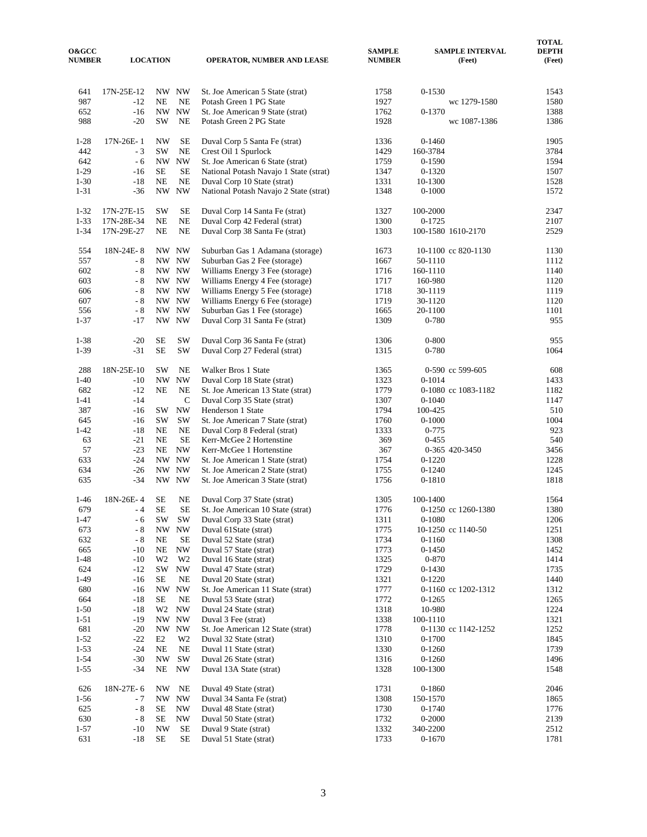| <b>O&amp;GCC</b><br><b>NUMBER</b> |                | <b>LOCATION</b>            |                                            | <b>OPERATOR, NUMBER AND LEASE</b>                              | SAMPLE<br><b>NUMBER</b> |                        | <b>SAMPLE INTERVAL</b><br>(Feet) | <b>TOTAL</b><br><b>DEPTH</b><br>(Feet) |
|-----------------------------------|----------------|----------------------------|--------------------------------------------|----------------------------------------------------------------|-------------------------|------------------------|----------------------------------|----------------------------------------|
| 641                               | 17N-25E-12     |                            | NW NW                                      | St. Joe American 5 State (strat)                               | 1758                    | $0 - 1530$             |                                  | 1543                                   |
| 987                               | -12            | NE                         | NE                                         | Potash Green 1 PG State                                        | 1927                    |                        | wc 1279-1580                     | 1580                                   |
| 652                               | $-16$          |                            | NW NW                                      | St. Joe American 9 State (strat)                               | 1762                    | 0-1370                 |                                  | 1388                                   |
| 988                               | $-20$          | SW                         | NE                                         | Potash Green 2 PG State                                        | 1928                    |                        | wc 1087-1386                     | 1386                                   |
| $1-28$                            | 17N-26E-1      | <b>NW</b>                  | SE                                         | Duval Corp 5 Santa Fe (strat)                                  | 1336                    | $0 - 1460$             |                                  | 1905                                   |
| 442                               | $-3$           | <b>SW</b>                  | $_{\rm NE}$                                | Crest Oil 1 Spurlock                                           | 1429                    | 160-3784               |                                  | 3784                                   |
| 642                               | - 6            | NW                         | <b>NW</b>                                  | St. Joe American 6 State (strat)                               | 1759                    | 0-1590                 |                                  | 1594                                   |
| $1-29$                            | $-16$          | <b>SE</b>                  | <b>SE</b>                                  | National Potash Navajo 1 State (strat)                         | 1347                    | $0 - 1320$             |                                  | 1507                                   |
| $1 - 30$                          | $-18$          | NE                         | NE                                         | Duval Corp 10 State (strat)                                    | 1331                    | 10-1300                |                                  | 1528                                   |
| $1 - 31$                          | $-36$          | NW                         | <b>NW</b>                                  | National Potash Navajo 2 State (strat)                         | 1348                    | $0 - 1000$             |                                  | 1572                                   |
| $1 - 32$                          | 17N-27E-15     | <b>SW</b>                  | SE                                         | Duval Corp 14 Santa Fe (strat)                                 | 1327                    | 100-2000               |                                  | 2347                                   |
| $1 - 33$                          | 17N-28E-34     | NE                         | $\rm NE$                                   | Duval Corp 42 Federal (strat)                                  | 1300                    | $0-1725$               |                                  | 2107                                   |
| $1 - 34$                          | 17N-29E-27     | NE                         | NE                                         | Duval Corp 38 Santa Fe (strat)                                 | 1303                    | 100-1580 1610-2170     |                                  | 2529                                   |
| 554                               | 18N-24E-8      |                            | NW NW                                      | Suburban Gas 1 Adamana (storage)                               | 1673                    |                        | 10-1100 cc 820-1130              | 1130                                   |
| 557                               | $-8$           |                            | NW NW                                      | Suburban Gas 2 Fee (storage)                                   | 1667                    | 50-1110                |                                  | 1112                                   |
| 602                               | - 8            |                            | NW NW                                      | Williams Energy 3 Fee (storage)                                | 1716                    | 160-1110               |                                  | 1140                                   |
| 603                               | - 8            |                            | NW NW                                      | Williams Energy 4 Fee (storage)                                | 1717                    | 160-980                |                                  | 1120                                   |
| 606                               | - 8            |                            | NW NW                                      | Williams Energy 5 Fee (storage)                                | 1718                    | 30-1119                |                                  | 1119                                   |
| 607                               | $-8$           |                            | NW NW                                      | Williams Energy 6 Fee (storage)                                | 1719                    | 30-1120                |                                  | 1120                                   |
| 556<br>$1 - 37$                   | $-8$<br>-17    |                            | NW NW<br>NW NW                             | Suburban Gas 1 Fee (storage)<br>Duval Corp 31 Santa Fe (strat) | 1665<br>1309            | 20-1100<br>0-780       |                                  | 1101<br>955                            |
|                                   |                |                            |                                            |                                                                |                         |                        |                                  |                                        |
| $1 - 38$                          | $-20$          | <b>SE</b><br><b>SE</b>     | $\mathrm{SW}$                              | Duval Corp 36 Santa Fe (strat)                                 | 1306                    | $0 - 800$              |                                  | 955                                    |
| $1 - 39$                          | $-31$          |                            | $\mathrm{SW}$                              | Duval Corp 27 Federal (strat)                                  | 1315                    | 0-780                  |                                  | 1064                                   |
| 288                               | 18N-25E-10     | <b>SW</b>                  | <b>NE</b>                                  | Walker Bros 1 State                                            | 1365                    |                        | 0-590 cc 599-605                 | 608                                    |
| $1 - 40$                          | -10            | <b>NW</b>                  | $\ensuremath{\text{NW}}$                   | Duval Corp 18 State (strat)                                    | 1323                    | $0 - 1014$             |                                  | 1433                                   |
| 682                               | $-12$          | NE                         | NE                                         | St. Joe American 13 State (strat)                              | 1779                    |                        | 0-1080 cc 1083-1182              | 1182                                   |
| $1 - 41$                          | $-14$          |                            | $\mathsf{C}$                               | Duval Corp 35 State (strat)                                    | 1307                    | $0 - 1040$             |                                  | 1147                                   |
| 387                               | -16            | SW                         | <b>NW</b>                                  | Henderson 1 State                                              | 1794                    | 100-425                |                                  | 510                                    |
| 645<br>$1 - 42$                   | $-16$<br>$-18$ | <b>SW</b><br>NE            | SW<br>$\rm NE$                             | St. Joe American 7 State (strat)                               | 1760<br>1333            | $0 - 1000$             |                                  | 1004<br>923                            |
| 63                                | $-21$          | NE                         | <b>SE</b>                                  | Duval Corp 8 Federal (strat)<br>Kerr-McGee 2 Hortenstine       | 369                     | $0 - 775$<br>$0 - 455$ |                                  | 540                                    |
| 57                                | $-23$          | $\rm NE$                   | <b>NW</b>                                  | Kerr-McGee 1 Hortenstine                                       | 367                     |                        | 0-365 420-3450                   | 3456                                   |
| 633                               | $-24$          |                            | NW NW                                      | St. Joe American 1 State (strat)                               | 1754                    | $0-1220$               |                                  | 1228                                   |
| 634                               | $-26$          | NW                         | <b>NW</b>                                  | St. Joe American 2 State (strat)                               | 1755                    | $0-1240$               |                                  | 1245                                   |
| 635                               | $-34$          |                            | NW NW                                      | St. Joe American 3 State (strat)                               | 1756                    | 0-1810                 |                                  | 1818                                   |
| $1-46$                            | 18N-26E-4      | SE                         | NE                                         | Duval Corp 37 State (strat)                                    | 1305                    | 100-1400               |                                  | 1564                                   |
| 679                               | $-4$           | <b>SE</b>                  | <b>SE</b>                                  | St. Joe American 10 State (strat)                              | 1776                    |                        | 0-1250 cc 1260-1380              | 1380                                   |
| $1 - 47$                          | $-6$           | SW                         | SW                                         | Duval Corp 33 State (strat)                                    | 1311                    | $0 - 1080$             |                                  | 1206                                   |
| 673                               | $\sim 8$       | NW                         | <b>NW</b>                                  | Duval 61State (strat)                                          | 1775                    |                        | 10-1250 cc 1140-50               | 1251                                   |
| 632                               | $\sim 8$       | NE                         | $\rm SE$                                   | Duval 52 State (strat)                                         | 1734                    | $0 - 1160$             |                                  | 1308                                   |
| 665                               | -10            | $\rm NE$                   | <b>NW</b>                                  | Duval 57 State (strat)                                         | 1773                    | $0-1450$               |                                  | 1452                                   |
| $1 - 48$<br>624                   | $-10$<br>$-12$ | W <sub>2</sub><br>$\rm SW$ | W <sub>2</sub><br>$\ensuremath{\text{NW}}$ | Duval 16 State (strat)<br>Duval 47 State (strat)               | 1325<br>1729            | 0-870<br>$0-1430$      |                                  | 1414<br>1735                           |
| $1-49$                            | -16            | <b>SE</b>                  | NE                                         | Duval 20 State (strat)                                         | 1321                    | $0-1220$               |                                  | 1440                                   |
| 680                               | $-16$          | NW                         | <b>NW</b>                                  | St. Joe American 11 State (strat)                              | 1777                    |                        | 0-1160 cc 1202-1312              | 1312                                   |
| 664                               | -18            | <b>SE</b>                  | NE                                         | Duval 53 State (strat)                                         | 1772                    | $0 - 1265$             |                                  | 1265                                   |
| $1 - 50$                          | $-18$          | W <sub>2</sub>             | <b>NW</b>                                  | Duval 24 State (strat)                                         | 1318                    | 10-980                 |                                  | 1224                                   |
| $1 - 51$                          | $-19$          |                            | NW NW                                      | Duval 3 Fee (strat)                                            | 1338                    | 100-1110               |                                  | 1321                                   |
| 681                               | $-20$          |                            | NW NW                                      | St. Joe American 12 State (strat)                              | 1778                    |                        | 0-1130 cc 1142-1252              | 1252                                   |
| $1 - 52$                          | $-22$          | E2                         | W <sub>2</sub>                             | Duval 32 State (strat)                                         | 1310                    | $0 - 1700$             |                                  | 1845                                   |
| $1 - 53$                          | $-24$          | NE                         | $\rm NE$                                   | Duval 11 State (strat)                                         | 1330                    | $0 - 1260$             |                                  | 1739                                   |
| $1 - 54$                          | $-30$          | <b>NW</b>                  | SW                                         | Duval 26 State (strat)                                         | 1316                    | $0 - 1260$             |                                  | 1496                                   |
| $1 - 55$                          | $-34$          | NE                         | NW                                         | Duval 13A State (strat)                                        | 1328                    | 100-1300               |                                  | 1548                                   |
| 626                               | 18N-27E-6      | NW                         | NE                                         | Duval 49 State (strat)                                         | 1731                    | 0-1860                 |                                  | 2046                                   |
| $1 - 56$                          | - 7            |                            | NW NW                                      | Duval 34 Santa Fe (strat)                                      | 1308                    | 150-1570               |                                  | 1865                                   |
| 625                               | $\sim 8$       | SE                         | $\ensuremath{\text{NW}}$                   | Duval 48 State (strat)                                         | 1730                    | $0-1740$               |                                  | 1776                                   |
| 630                               | - 8            | SE<br><b>NW</b>            | NW<br>$\rm SE$                             | Duval 50 State (strat)                                         | 1732                    | $0 - 2000$             |                                  | 2139                                   |
| $1 - 57$<br>631                   | $-10$<br>$-18$ | <b>SE</b>                  | SE                                         | Duval 9 State (strat)<br>Duval 51 State (strat)                | 1332<br>1733            | 340-2200<br>$0 - 1670$ |                                  | 2512<br>1781                           |
|                                   |                |                            |                                            |                                                                |                         |                        |                                  |                                        |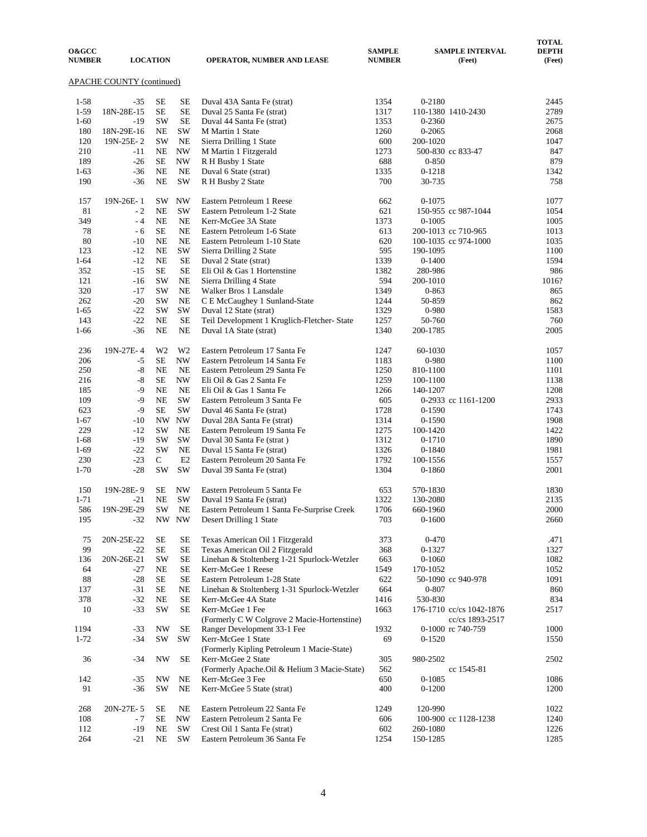| <b>O&amp;GCC</b><br><b>NUMBER</b> |                           | <b>LOCATION</b> |                          | <b>OPERATOR, NUMBER AND LEASE</b>                                | <b>SAMPLE</b><br><b>NUMBER</b> | <b>SAMPLE INTERVAL</b><br>(Feet)            | <b>TOTAL</b><br><b>DEPTH</b><br>(Feet) |
|-----------------------------------|---------------------------|-----------------|--------------------------|------------------------------------------------------------------|--------------------------------|---------------------------------------------|----------------------------------------|
|                                   | APACHE COUNTY (continued) |                 |                          |                                                                  |                                |                                             |                                        |
| $1 - 58$                          | $-35$                     | SE              | SE                       | Duval 43A Santa Fe (strat)                                       | 1354                           | 0-2180                                      | 2445                                   |
| $1-59$                            | 18N-28E-15                | <b>SE</b>       | <b>SE</b>                | Duval 25 Santa Fe (strat)                                        | 1317                           | 110-1380 1410-2430                          | 2789                                   |
| $1-60$                            | $-19$                     | <b>SW</b>       | <b>SE</b>                | Duval 44 Santa Fe (strat)                                        | 1353                           | 0-2360                                      | 2675                                   |
| 180                               | 18N-29E-16                | NE              | SW                       | M Martin 1 State                                                 | 1260                           | 0-2065                                      | 2068                                   |
| 120                               | 19N-25E-2                 | <b>SW</b>       | <b>NE</b>                | Sierra Drilling 1 State                                          | 600                            | 200-1020                                    | 1047                                   |
| 210                               | $-11$                     | NE              | <b>NW</b>                | M Martin 1 Fitzgerald                                            | 1273                           | 500-830 cc 833-47                           | 847                                    |
| 189                               | $-26$                     | <b>SE</b>       | $\ensuremath{\text{NW}}$ | R H Busby 1 State                                                | 688                            | $0 - 850$                                   | 879                                    |
| $1-63$                            | $-36$                     | NE              | <b>NE</b>                | Duval 6 State (strat)                                            | 1335                           | $0 - 1218$                                  | 1342                                   |
| 190                               | $-36$                     | NE              | SW                       | R H Busby 2 State                                                | 700                            | 30-735                                      | 758                                    |
| 157                               | 19N-26E-1                 | SW              | <b>NW</b>                | Eastern Petroleum 1 Reese                                        | 662                            | $0 - 1075$                                  | 1077                                   |
| 81                                | $-2$                      | NE              | <b>SW</b>                | Eastern Petroleum 1-2 State                                      | 621                            | 150-955 cc 987-1044                         | 1054                                   |
| 349                               | $-4$                      | NE              | <b>NE</b>                | Kerr-McGee 3A State                                              | 1373                           | $0 - 1005$                                  | 1005                                   |
| 78<br>80                          | - 6<br>$-10$              | <b>SE</b><br>NE | NE<br>NE                 | Eastern Petroleum 1-6 State<br>Eastern Petroleum 1-10 State      | 613<br>620                     | 200-1013 cc 710-965                         | 1013                                   |
| 123                               | $-12$                     | <b>NE</b>       | SW                       | Sierra Drilling 2 State                                          | 595                            | 100-1035 cc 974-1000<br>190-1095            | 1035<br>1100                           |
| $1 - 64$                          | $-12$                     | <b>NE</b>       | <b>SE</b>                | Duval 2 State (strat)                                            | 1339                           | $0 - 1400$                                  | 1594                                   |
| 352                               | $-15$                     | <b>SE</b>       | <b>SE</b>                | Eli Oil & Gas 1 Hortenstine                                      | 1382                           | 280-986                                     | 986                                    |
| 121                               | $-16$                     | SW              | <b>NE</b>                | Sierra Drilling 4 State                                          | 594                            | 200-1010                                    | 1016?                                  |
| 320                               | $-17$                     | SW              | NE                       | Walker Bros 1 Lansdale                                           | 1349                           | $0 - 863$                                   | 865                                    |
| 262                               | $-20$                     | SW              | <b>NE</b>                | C E McCaughey 1 Sunland-State                                    | 1244                           | 50-859                                      | 862                                    |
| $1-65$                            | $-22$                     | SW              | SW                       | Duval 12 State (strat)                                           | 1329                           | 0-980                                       | 1583                                   |
| 143                               | $-22$                     | NE              | <b>SE</b>                | Teil Development 1 Kruglich-Fletcher- State                      | 1257                           | 50-760                                      | 760                                    |
| $1-66$                            | $-36$                     | NE              | <b>NE</b>                | Duval 1A State (strat)                                           | 1340                           | 200-1785                                    | 2005                                   |
| 236                               | 19N-27E-4                 | W <sub>2</sub>  | W <sub>2</sub>           | Eastern Petroleum 17 Santa Fe                                    | 1247                           | 60-1030                                     | 1057                                   |
| 206                               | $-5$                      | <b>SE</b>       | <b>NW</b>                | Eastern Petroleum 14 Santa Fe                                    | 1183                           | 0-980                                       | 1100                                   |
| 250                               | $-8$                      | NE              | <b>NE</b>                | Eastern Petroleum 29 Santa Fe                                    | 1250                           | 810-1100                                    | 1101                                   |
| 216                               | $-8$                      | <b>SE</b>       | <b>NW</b>                | Eli Oil & Gas 2 Santa Fe                                         | 1259                           | 100-1100                                    | 1138                                   |
| 185                               | $-9$                      | NE              | <b>NE</b>                | Eli Oil & Gas 1 Santa Fe                                         | 1266                           | 140-1207                                    | 1208                                   |
| 109                               | $-9$                      | <b>NE</b>       | SW                       | Eastern Petroleum 3 Santa Fe                                     | 605                            | 0-2933 cc 1161-1200                         | 2933                                   |
| 623                               | $-9$                      | <b>SE</b>       | SW                       | Duval 46 Santa Fe (strat)                                        | 1728                           | 0-1590                                      | 1743                                   |
| $1-67$                            | $-10$                     | <b>NW</b>       | <b>NW</b>                | Duval 28A Santa Fe (strat)                                       | 1314                           | $0 - 1590$                                  | 1908                                   |
| 229                               | $-12$                     | SW              | <b>NE</b>                | Eastern Petroleum 19 Santa Fe                                    | 1275                           | 100-1420                                    | 1422                                   |
| $1-68$                            | $-19$<br>$-22$            | SW<br>SW        | SW<br><b>NE</b>          | Duval 30 Santa Fe (strat)                                        | 1312                           | 0-1710                                      | 1890<br>1981                           |
| $1-69$<br>230                     | $-23$                     | C               | E2                       | Duval 15 Santa Fe (strat)<br>Eastern Petroleum 20 Santa Fe       | 1326<br>1792                   | $0 - 1840$<br>100-1556                      | 1557                                   |
| $1-70$                            | $-28$                     | SW              | <b>SW</b>                | Duval 39 Santa Fe (strat)                                        | 1304                           | 0-1860                                      | 2001                                   |
| 150                               | 19N-28E-9                 | SЕ              | <b>NW</b>                | Eastern Petroleum 5 Santa Fe                                     | 653                            | 570-1830                                    | 1830                                   |
| $1 - 71$                          | $-21$                     | <b>NE</b>       | <b>SW</b>                | Duval 19 Santa Fe (strat)                                        | 1322                           | 130-2080                                    | 2135                                   |
| 586                               | 19N-29E-29                | SW              | <b>NE</b>                | Eastern Petroleum 1 Santa Fe-Surprise Creek                      | 1706                           | 660-1960                                    | 2000                                   |
| 195                               | $-32$                     |                 | NW NW                    | Desert Drilling 1 State                                          | 703                            | $0 - 1600$                                  | 2660                                   |
| 75                                | 20N-25E-22                | SE              | SE                       | Texas American Oil 1 Fitzgerald                                  | 373                            | $0 - 470$                                   | .471                                   |
| 99                                | $-22$                     | <b>SE</b>       | <b>SE</b>                | Texas American Oil 2 Fitzgerald                                  | 368                            | 0-1327                                      | 1327                                   |
| 136                               | 20N-26E-21                | SW              | <b>SE</b>                | Linehan & Stoltenberg 1-21 Spurlock-Wetzler                      | 663                            | $0 - 1060$                                  | 1082                                   |
| 64                                | $-27$                     | NE              | SE                       | Kerr-McGee 1 Reese                                               | 1549                           | 170-1052                                    | 1052                                   |
| 88                                | $-28$                     | SЕ              | <b>SE</b>                | Eastern Petroleum 1-28 State                                     | 622                            | 50-1090 cc 940-978                          | 1091                                   |
| 137                               | $-31$                     | $\rm SE$        | NE                       | Linehan & Stoltenberg 1-31 Spurlock-Wetzler                      | 664                            | $0 - 807$                                   | 860                                    |
| 378                               | $-32$                     | NE              | <b>SE</b>                | Kerr-McGee 4A State                                              | 1416                           | 530-830                                     | 834                                    |
| 10                                | $-33$                     | SW              | <b>SE</b>                | Kerr-McGee 1 Fee<br>(Formerly C W Colgrove 2 Macie-Hortenstine)  | 1663                           | 176-1710 cc/cs 1042-1876<br>cc/cs 1893-2517 | 2517                                   |
| 1194                              | $-33$                     | NW              | SE                       | Ranger Development 33-1 Fee                                      | 1932                           | 0-1000 rc 740-759                           | 1000                                   |
| $1 - 72$                          | $-34$                     | SW              | SW                       | Kerr-McGee 1 State<br>(Formerly Kipling Petroleum 1 Macie-State) | 69                             | $0 - 1520$                                  | 1550                                   |
| 36                                | $-34$                     | <b>NW</b>       | <b>SE</b>                | Kerr-McGee 2 State                                               | 305                            | 980-2502                                    | 2502                                   |
|                                   |                           |                 |                          | (Formerly Apache.Oil & Helium 3 Macie-State)                     | 562                            | cc 1545-81                                  |                                        |
| 142                               | $-35$                     | NW              | NE                       | Kerr-McGee 3 Fee                                                 | 650                            | $0 - 1085$                                  | 1086                                   |
| 91                                | $-36$                     | SW              | NE                       | Kerr-McGee 5 State (strat)                                       | 400                            | $0 - 1200$                                  | 1200                                   |
| 268                               | 20N-27E-5                 | SE              | NE                       | Eastern Petroleum 22 Santa Fe                                    | 1249                           | 120-990                                     | 1022                                   |
| 108                               | - 7                       | SЕ              | $\ensuremath{\text{NW}}$ | Eastern Petroleum 2 Santa Fe                                     | 606                            | 100-900 cc 1128-1238                        | 1240                                   |
| 112                               | $-19$                     | NE              | SW                       | Crest Oil 1 Santa Fe (strat)                                     | 602                            | 260-1080                                    | 1226                                   |
| 264                               | $-21$                     | NE              | SW                       | Eastern Petroleum 36 Santa Fe                                    | 1254                           | 150-1285                                    | 1285                                   |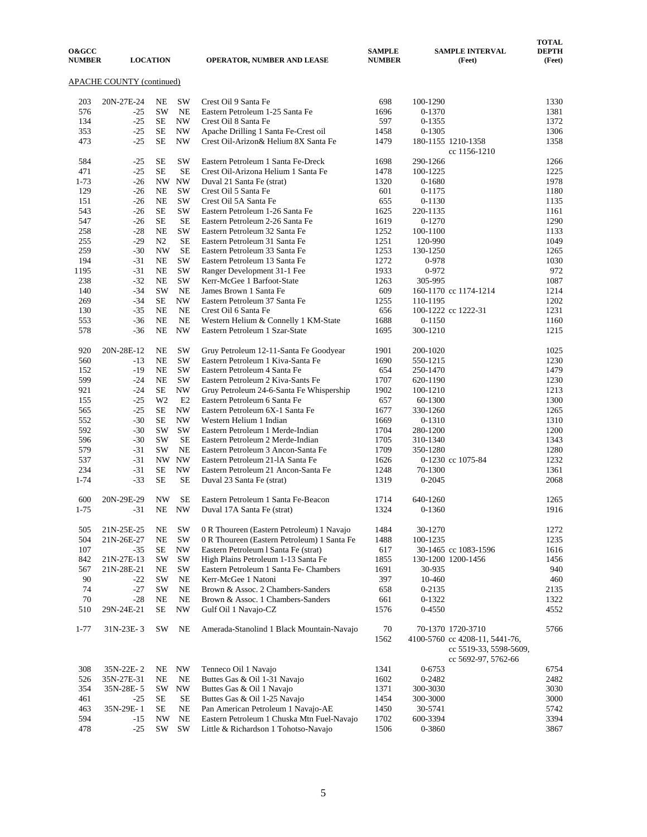| <b>O&amp;GCC</b><br><b>NUMBER</b>            |                |                |                          | <b>OPERATOR, NUMBER AND LEASE</b>                                       | <b>SAMPLE</b><br><b>NUMBER</b> |            | <b>SAMPLE INTERVAL</b><br>(Feet)                                                                     | <b>TOTAL</b><br><b>DEPTH</b><br>(Feet) |  |  |  |  |
|----------------------------------------------|----------------|----------------|--------------------------|-------------------------------------------------------------------------|--------------------------------|------------|------------------------------------------------------------------------------------------------------|----------------------------------------|--|--|--|--|
| <b>LOCATION</b><br>APACHE COUNTY (continued) |                |                |                          |                                                                         |                                |            |                                                                                                      |                                        |  |  |  |  |
| 203                                          | 20N-27E-24     | NE             | SW                       | Crest Oil 9 Santa Fe                                                    | 698                            | 100-1290   |                                                                                                      | 1330                                   |  |  |  |  |
| 576                                          | $-25$          | <b>SW</b>      | NE                       | Eastern Petroleum 1-25 Santa Fe                                         | 1696                           | 0-1370     |                                                                                                      | 1381                                   |  |  |  |  |
| 134                                          | $-25$          | SE             | <b>NW</b>                | Crest Oil 8 Santa Fe                                                    | 597                            | $0 - 1355$ |                                                                                                      | 1372                                   |  |  |  |  |
| 353                                          | $-25$          | SE             | $\ensuremath{\text{NW}}$ | Apache Drilling 1 Santa Fe-Crest oil                                    | 1458                           | 0-1305     |                                                                                                      | 1306                                   |  |  |  |  |
| 473                                          | $-25$          | <b>SE</b>      | <b>NW</b>                | Crest Oil-Arizon& Helium 8X Santa Fe                                    | 1479                           |            | 180-1155 1210-1358<br>cc 1156-1210                                                                   | 1358                                   |  |  |  |  |
| 584                                          | $-25$          | SE             | SW                       | Eastern Petroleum 1 Santa Fe-Dreck                                      | 1698                           | 290-1266   |                                                                                                      | 1266                                   |  |  |  |  |
| 471                                          | $-25$          | <b>SE</b>      | <b>SE</b>                | Crest Oil-Arizona Helium 1 Santa Fe                                     | 1478                           | 100-1225   |                                                                                                      | 1225                                   |  |  |  |  |
| $1 - 73$                                     | $-26$          |                | NW NW                    | Duval 21 Santa Fe (strat)                                               | 1320                           | 0-1680     |                                                                                                      | 1978                                   |  |  |  |  |
| 129                                          | $-26$          | <b>NE</b>      | SW                       | Crest Oil 5 Santa Fe                                                    | 601                            | 0-1175     |                                                                                                      | 1180                                   |  |  |  |  |
| 151                                          | $-26$          | NE             | SW                       | Crest Oil 5A Santa Fe                                                   | 655                            | 0-1130     |                                                                                                      | 1135                                   |  |  |  |  |
| 543                                          | $-26$          | <b>SE</b>      | SW                       | Eastern Petroleum 1-26 Santa Fe                                         | 1625                           | 220-1135   |                                                                                                      | 1161                                   |  |  |  |  |
| 547                                          | $-26$          | <b>SE</b>      | SE                       | Eastern Petroleum 2-26 Santa Fe                                         | 1619                           | $0 - 1270$ |                                                                                                      | 1290                                   |  |  |  |  |
| 258                                          | $-28$          | <b>NE</b>      | SW                       | Eastern Petroleum 32 Santa Fe                                           | 1252                           | 100-1100   |                                                                                                      | 1133                                   |  |  |  |  |
| 255                                          | $-29$          | N <sub>2</sub> | <b>SE</b>                | Eastern Petroleum 31 Santa Fe                                           | 1251                           | 120-990    |                                                                                                      | 1049                                   |  |  |  |  |
| 259                                          | $-30$          | <b>NW</b>      | <b>SE</b>                | Eastern Petroleum 33 Santa Fe                                           | 1253                           | 130-1250   |                                                                                                      | 1265                                   |  |  |  |  |
| 194                                          | $-31$          | <b>NE</b>      | SW                       | Eastern Petroleum 13 Santa Fe                                           | 1272                           | 0-978      |                                                                                                      | 1030                                   |  |  |  |  |
| 1195                                         | $-31$          | NE             | SW                       | Ranger Development 31-1 Fee                                             | 1933                           | 0-972      |                                                                                                      | 972                                    |  |  |  |  |
| 238                                          | $-32$<br>$-34$ | NE<br>SW       | SW<br>NE                 | Kerr-McGee 1 Barfoot-State                                              | 1263<br>609                    | 305-995    |                                                                                                      | 1087<br>1214                           |  |  |  |  |
| 140<br>269                                   | $-34$          | <b>SE</b>      | <b>NW</b>                | James Brown 1 Santa Fe<br>Eastern Petroleum 37 Santa Fe                 | 1255                           | 110-1195   | 160-1170 cc 1174-1214                                                                                | 1202                                   |  |  |  |  |
| 130                                          | $-35$          | <b>NE</b>      | NE                       | Crest Oil 6 Santa Fe                                                    | 656                            |            | 100-1222 cc 1222-31                                                                                  | 1231                                   |  |  |  |  |
| 553                                          | $-36$          | <b>NE</b>      | NE                       | Western Helium & Connelly 1 KM-State                                    | 1688                           | $0 - 1150$ |                                                                                                      | 1160                                   |  |  |  |  |
| 578                                          | -36            | NE             | <b>NW</b>                | Eastern Petroleum 1 Szar-State                                          | 1695                           | 300-1210   |                                                                                                      | 1215                                   |  |  |  |  |
| 920                                          | 20N-28E-12     | NE             | SW                       | Gruy Petroleum 12-11-Santa Fe Goodyear                                  | 1901                           | 200-1020   |                                                                                                      | 1025                                   |  |  |  |  |
| 560                                          | $-13$          | NE             | SW                       | Eastern Petroleum 1 Kiva-Santa Fe                                       | 1690                           | 550-1215   |                                                                                                      | 1230                                   |  |  |  |  |
| 152                                          | $-19$          | <b>NE</b>      | SW                       | Eastern Petroleum 4 Santa Fe                                            | 654                            | 250-1470   |                                                                                                      | 1479                                   |  |  |  |  |
| 599                                          | $-24$          | <b>NE</b>      | SW                       | Eastern Petroleum 2 Kiva-Sants Fe                                       | 1707                           | 620-1190   |                                                                                                      | 1230                                   |  |  |  |  |
| 921                                          | $-24$          | SE             | $\ensuremath{\text{NW}}$ | Gruy Petroleum 24-6-Santa Fe Whispership                                | 1902                           | 100-1210   |                                                                                                      | 1213                                   |  |  |  |  |
| 155                                          | $-25$          | W <sub>2</sub> | E2                       | Eastern Petroleum 6 Santa Fe                                            | 657                            | 60-1300    |                                                                                                      | 1300                                   |  |  |  |  |
| 565                                          | $-25$          | <b>SE</b>      | <b>NW</b>                | Eastern Petroleum 6X-1 Santa Fe                                         | 1677                           | 330-1260   |                                                                                                      | 1265                                   |  |  |  |  |
| 552                                          | -30            | SE             | <b>NW</b>                | Western Helium 1 Indian                                                 | 1669                           | 0-1310     |                                                                                                      | 1310                                   |  |  |  |  |
| 592                                          | $-30$          | <b>SW</b>      | SW                       | Eastern Petroleum 1 Merde-Indian                                        | 1704                           | 280-1200   |                                                                                                      | 1200                                   |  |  |  |  |
| 596                                          | $-30$          | <b>SW</b>      | <b>SE</b>                | Eastern Petroleum 2 Merde-Indian                                        | 1705                           | 310-1340   |                                                                                                      | 1343                                   |  |  |  |  |
| 579                                          | $-31$          | <b>SW</b>      | NE<br>NW NW              | Eastern Petroleum 3 Ancon-Santa Fe                                      | 1709                           | 350-1280   |                                                                                                      | 1280<br>1232                           |  |  |  |  |
| 537<br>234                                   | $-31$<br>$-31$ | <b>SE</b>      | <b>NW</b>                | Eastern Petroleum 21-1A Santa Fe<br>Eastern Petroleum 21 Ancon-Santa Fe | 1626<br>1248                   | 70-1300    | 0-1230 cc 1075-84                                                                                    | 1361                                   |  |  |  |  |
| $1 - 74$                                     | $-33$          | <b>SE</b>      | <b>SE</b>                | Duval 23 Santa Fe (strat)                                               | 1319                           | $0 - 2045$ |                                                                                                      | 2068                                   |  |  |  |  |
| 600                                          | 20N-29E-29     | <b>NW</b>      | <b>SE</b>                | Eastern Petroleum 1 Santa Fe-Beacon                                     | 1714                           | 640-1260   |                                                                                                      | 1265                                   |  |  |  |  |
| $1 - 75$                                     | $-31$          | NE             | <b>NW</b>                | Duval 17A Santa Fe (strat)                                              | 1324                           | 0-1360     |                                                                                                      | 1916                                   |  |  |  |  |
| 505                                          | 21N-25E-25     | NE             | SW                       | 0 R Thoureen (Eastern Petroleum) 1 Navajo                               | 1484                           | 30-1270    |                                                                                                      | 1272                                   |  |  |  |  |
| 504                                          | 21N-26E-27     | NE             | SW                       | 0 R Thoureen (Eastern Petroleum) 1 Santa Fe                             | 1488                           | 100-1235   |                                                                                                      | 1235                                   |  |  |  |  |
| 107                                          | $-35$          | <b>SE</b>      | $\ensuremath{\text{NW}}$ | Eastern Petroleum 1 Santa Fe (strat)                                    | 617                            |            | 30-1465 cc 1083-1596                                                                                 | 1616                                   |  |  |  |  |
| 842                                          | 21N-27E-13     | SW             | SW                       | High Plains Petroleum 1-13 Santa Fe                                     | 1855                           |            | 130-1200 1200-1456                                                                                   | 1456                                   |  |  |  |  |
| 567                                          | 21N-28E-21     | NE             | SW                       | Eastern Petroleum 1 Santa Fe- Chambers                                  | 1691                           | 30-935     |                                                                                                      | 940                                    |  |  |  |  |
| 90                                           | $-22$          | <b>SW</b>      | NE                       | Kerr-McGee 1 Natoni                                                     | 397                            | 10-460     |                                                                                                      | 460                                    |  |  |  |  |
| 74                                           | $-27$          | SW             | NE                       | Brown & Assoc. 2 Chambers-Sanders                                       | 658                            | 0-2135     |                                                                                                      | 2135                                   |  |  |  |  |
| 70                                           | $-28$          | NE             | $\rm NE$                 | Brown & Assoc. 1 Chambers-Sanders                                       | 661                            | 0-1322     |                                                                                                      | 1322                                   |  |  |  |  |
| 510                                          | 29N-24E-21     | <b>SE</b>      | <b>NW</b>                | Gulf Oil 1 Navajo-CZ                                                    | 1576                           | 0-4550     |                                                                                                      | 4552                                   |  |  |  |  |
| $1 - 77$                                     | 31N-23E-3      | <b>SW</b>      | NE                       | Amerada-Stanolind 1 Black Mountain-Navajo                               | 70<br>1562                     |            | 70-1370 1720-3710<br>4100-5760 cc 4208-11, 5441-76,<br>cc 5519-33, 5598-5609,<br>cc 5692-97, 5762-66 | 5766                                   |  |  |  |  |
| 308                                          | 35N-22E-2      | NE             | NW                       | Tenneco Oil 1 Navajo                                                    | 1341                           | 0-6753     |                                                                                                      | 6754                                   |  |  |  |  |
| 526                                          | 35N-27E-31     | NE             | $\rm NE$                 | Buttes Gas & Oil 1-31 Navajo                                            | 1602                           | 0-2482     |                                                                                                      | 2482                                   |  |  |  |  |
| 354                                          | 35N-28E-5      | SW             | <b>NW</b>                | Buttes Gas & Oil 1 Navajo                                               | 1371                           | 300-3030   |                                                                                                      | 3030                                   |  |  |  |  |
| 461                                          | $-25$          | <b>SE</b>      | $\rm SE$                 | Buttes Gas & Oil 1-25 Navajo                                            | 1454                           | 300-3000   |                                                                                                      | 3000                                   |  |  |  |  |
| 463                                          | 35N-29E-1      | SE             | $\rm NE$                 | Pan American Petroleum 1 Navajo-AE                                      | 1450                           | 30-5741    |                                                                                                      | 5742                                   |  |  |  |  |
| 594                                          | $-15$          | NW             | NE                       | Eastern Petroleum 1 Chuska Mtn Fuel-Navajo                              | 1702                           | 600-3394   |                                                                                                      | 3394                                   |  |  |  |  |
| 478                                          | $-25$          | SW             | SW                       | Little & Richardson 1 Tohotso-Navajo                                    | 1506                           | 0-3860     |                                                                                                      | 3867                                   |  |  |  |  |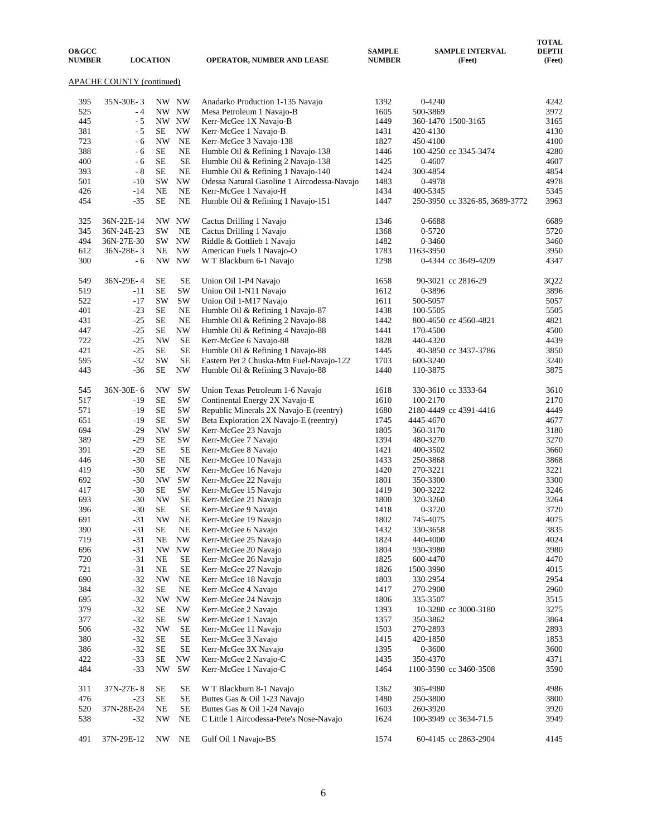| <b>O&amp;GCC</b><br><b>NUMBER</b>  |            | <b>LOCATION</b> |                          | <b>OPERATOR, NUMBER AND LEASE</b>           | <b>SAMPLE</b><br><b>NUMBER</b> | <b>SAMPLE INTERVAL</b><br>(Feet) | <b>TOTAL</b><br><b>DEPTH</b><br>(Feet) |  |  |  |  |  |
|------------------------------------|------------|-----------------|--------------------------|---------------------------------------------|--------------------------------|----------------------------------|----------------------------------------|--|--|--|--|--|
| APACHE COUNTY (continued)<br>NW NW |            |                 |                          |                                             |                                |                                  |                                        |  |  |  |  |  |
| 395                                | 35N-30E-3  |                 |                          | Anadarko Production 1-135 Navajo            | 1392                           | $0 - 4240$                       | 4242                                   |  |  |  |  |  |
| 525                                | - 4        |                 | NW NW                    | Mesa Petroleum 1 Navajo-B                   | 1605                           | 500-3869                         | 3972                                   |  |  |  |  |  |
| 445                                | $-5$       |                 | NW NW                    | Kerr-McGee 1X Navajo-B                      | 1449                           | 360-1470 1500-3165               | 3165                                   |  |  |  |  |  |
| 381                                | - 5        | SE              | NW                       | Kerr-McGee 1 Navajo-B                       | 1431                           | 420-4130                         | 4130                                   |  |  |  |  |  |
| 723                                | - 6        | <b>NW</b>       | NE                       | Kerr-McGee 3 Navajo-138                     | 1827                           | 450-4100                         | 4100                                   |  |  |  |  |  |
| 388                                | - 6        | <b>SE</b>       | NE                       | Humble Oil & Refining 1 Navajo-138          | 1446                           | 100-4250 cc 3345-3474            | 4280                                   |  |  |  |  |  |
| 400                                | - 6        | SЕ              | <b>SE</b>                | Humble Oil & Refining 2 Navajo-138          | 1425                           | $0 - 4607$                       | 4607                                   |  |  |  |  |  |
| 393                                | - 8        | SE              | NE                       | Humble Oil & Refining 1 Navajo-140          | 1424                           | 300-4854                         | 4854                                   |  |  |  |  |  |
| 501                                | $-10$      | <b>SW</b>       | <b>NW</b>                | Odessa Natural Gasoline 1 Aircodessa-Navajo | 1483                           | 0-4978                           | 4978                                   |  |  |  |  |  |
| 426                                | $-14$      | NE              | NE                       | Kerr-McGee 1 Navajo-H                       | 1434                           | 400-5345                         | 5345                                   |  |  |  |  |  |
| 454                                | $-35$      | <b>SE</b>       | NE                       | Humble Oil & Refining 1 Navajo-151          | 1447                           | 250-3950 cc 3326-85, 3689-3772   | 3963                                   |  |  |  |  |  |
| 325                                | 36N-22E-14 | NW.             | <b>NW</b>                | Cactus Drilling 1 Navajo                    | 1346                           | 0-6688                           | 6689                                   |  |  |  |  |  |
| 345                                | 36N-24E-23 | <b>SW</b>       | NE                       | Cactus Drilling 1 Navajo                    | 1368                           | 0-5720                           | 5720                                   |  |  |  |  |  |
| 494                                | 36N-27E-30 | SW              | NW                       | Riddle & Gottlieb 1 Navajo                  | 1482                           | $0 - 3460$                       | 3460                                   |  |  |  |  |  |
| 612                                | 36N-28E-3  | NE              | $\ensuremath{\text{NW}}$ | American Fuels 1 Navajo-O                   | 1783                           | 1163-3950                        | 3950                                   |  |  |  |  |  |
| 300                                | - 6        |                 | NW NW                    | W T Blackburn 6-1 Navajo                    | 1298                           | 0-4344 cc 3649-4209              | 4347                                   |  |  |  |  |  |
| 549                                | 36N-29E-4  | SE              | <b>SE</b>                | Union Oil 1-P4 Navajo                       | 1658                           | 90-3021 cc 2816-29               | 3Q22                                   |  |  |  |  |  |
| 519                                | -11        | SE              | SW                       | Union Oil 1-N11 Navajo                      | 1612                           | 0-3896                           | 3896                                   |  |  |  |  |  |
| 522                                | $-17$      | SW              | $\mathrm{SW}$            | Union Oil 1-M17 Navajo                      | 1611                           | 500-5057                         | 5057                                   |  |  |  |  |  |
| 401                                | $-23$      | SE              | NE                       | Humble Oil & Refining 1 Navajo-87           | 1438                           | 100-5505                         | 5505                                   |  |  |  |  |  |
| 431                                | $-25$      | SE              | NE                       | Humble Oil & Refining 2 Navajo-88           | 1442                           | 800-4650 cc 4560-4821            | 4821                                   |  |  |  |  |  |
| 447                                | $-25$      | SE              | $\ensuremath{\text{NW}}$ | Humble Oil & Refining 4 Navajo-88           | 1441                           | 170-4500                         | 4500                                   |  |  |  |  |  |
| 722                                | $-25$      | <b>NW</b>       | <b>SE</b>                | Kerr-McGee 6 Navajo-88                      | 1828                           | 440-4320                         | 4439                                   |  |  |  |  |  |
| 421                                | $-25$      | <b>SE</b>       | <b>SE</b>                | Humble Oil & Refining 1 Navajo-88           | 1445                           | 40-3850 cc 3437-3786             | 3850                                   |  |  |  |  |  |
| 595                                | $-32$      | <b>SW</b>       | <b>SE</b>                | Eastern Pet 2 Chuska-Mtn Fuel-Navajo-122    | 1703                           | 600-3240                         | 3240                                   |  |  |  |  |  |
| 443                                | $-36$      | SE              | NW                       | Humble Oil & Refining 3 Navajo-88           | 1440                           | 110-3875                         | 3875                                   |  |  |  |  |  |
| 545                                | 36N-30E-6  | NW              | <b>SW</b>                | Union Texas Petroleum 1-6 Navajo            | 1618                           | 330-3610 cc 3333-64              | 3610                                   |  |  |  |  |  |
| 517                                | $-19$      | <b>SE</b>       | $\mathrm{SW}$            | Continental Energy 2X Navajo-E              | 1610                           | 100-2170                         | 2170                                   |  |  |  |  |  |
| 571                                | $-19$      | SЕ              | SW                       | Republic Minerals 2X Navajo-E (reentry)     | 1680                           | 2180-4449 cc 4391-4416           | 4449                                   |  |  |  |  |  |
| 651                                | $-19$      | SE              | SW                       | Beta Exploration 2X Navajo-E (reentry)      | 1745                           | 4445-4670                        | 4677                                   |  |  |  |  |  |
| 694                                | $-29$      | <b>NW</b>       | SW                       | Kerr-McGee 23 Navajo                        | 1805                           | 360-3170                         | 3180                                   |  |  |  |  |  |
| 389                                | $-29$      | SE              | SW                       | Kerr-McGee 7 Navajo                         | 1394                           | 480-3270                         | 3270                                   |  |  |  |  |  |
| 391                                | $-29$      | SE              | SE                       | Kerr-McGee 8 Navajo                         | 1421                           | 400-3502                         | 3660                                   |  |  |  |  |  |
| 446                                | $-30$      | SE              | NE                       | Kerr-McGee 10 Navajo                        | 1433                           | 250-3868                         | 3868                                   |  |  |  |  |  |
| 419                                | $-30$      | SE              | NW                       | Kerr-McGee 16 Navajo                        | 1420                           | 270-3221                         | 3221                                   |  |  |  |  |  |
| 692                                | $-30$      | <b>NW</b>       | SW                       | Kerr-McGee 22 Navajo                        | 1801                           | 350-3300                         | 3300                                   |  |  |  |  |  |
| 417                                | $-30$      | SE              | SW                       | Kerr-McGee 15 Navajo                        | 1419                           | 300-3222                         | 3246                                   |  |  |  |  |  |
| 693                                | $-30$      | NW              | <b>SE</b>                | Kerr-McGee 21 Navajo                        | 1800                           | 320-3260                         | 3264                                   |  |  |  |  |  |
| 396                                | $-30$      | $\rm SE$        | $\rm SE$                 | Kerr-McGee 9 Navajo                         | 1418                           | 0-3720                           | 3720                                   |  |  |  |  |  |
| 691                                | -31        | NW              | NE                       | Kerr-McGee 19 Navajo                        | 1802                           | 745-4075                         | 4075                                   |  |  |  |  |  |
| 390                                | $-31$      | SE              | NE                       | Kerr-McGee 6 Navajo                         | 1432                           | 330-3658                         | 3835                                   |  |  |  |  |  |
| 719                                | $-31$      | NE              | NW                       | Kerr-McGee 25 Navajo                        | 1824                           | 440-4000                         | 4024                                   |  |  |  |  |  |
| 696                                | $-31$      | NW              | <b>NW</b>                | Kerr-McGee 20 Navajo                        | 1804                           | 930-3980                         | 3980                                   |  |  |  |  |  |
| 720                                | $-31$      | NE              | SE                       | Kerr-McGee 26 Navajo                        | 1825                           | 600-4470                         | 4470                                   |  |  |  |  |  |
| 721                                | $-31$      | NE              | <b>SE</b>                | Kerr-McGee 27 Navajo                        | 1826                           | 1500-3990                        | 4015                                   |  |  |  |  |  |
| 690                                | $-32$      | NW              | NE                       | Kerr-McGee 18 Navajo                        | 1803                           | 330-2954                         | 2954                                   |  |  |  |  |  |
| 384                                | $-32$      | SE              | NE                       | Kerr-McGee 4 Navajo                         | 1417                           | 270-2900                         | 2960                                   |  |  |  |  |  |
| 695                                | $-32$      | NW              | NW                       | Kerr-McGee 24 Navajo                        | 1806                           | 335-3507                         | 3515                                   |  |  |  |  |  |
| 379                                | $-32$      | SE              | NW                       | Kerr-McGee 2 Navajo                         | 1393                           | 10-3280 cc 3000-3180             | 3275                                   |  |  |  |  |  |
| 377                                | $-32$      | <b>SE</b>       | SW                       | Kerr-McGee 1 Navajo                         | 1357                           | 350-3862                         | 3864                                   |  |  |  |  |  |
| 506                                | $-32$      | <b>NW</b>       | SE                       | Kerr-McGee 11 Navajo                        | 1503                           | 270-2893                         | 2893                                   |  |  |  |  |  |
| 380                                | $-32$      | SE              | SE                       | Kerr-McGee 3 Navajo                         | 1415                           | 420-1850                         | 1853                                   |  |  |  |  |  |
| 386                                | $-32$      | SE              | SE                       | Kerr-McGee 3X Navajo                        | 1395                           | $0 - 3600$                       | 3600                                   |  |  |  |  |  |
| 422                                | $-33$      | SE              | <b>NW</b>                | Kerr-McGee 2 Navajo-C                       | 1435                           | 350-4370                         | 4371                                   |  |  |  |  |  |
| 484                                | $-33$      | NW              | SW                       | Kerr-McGee 1 Navajo-C                       | 1464                           | 1100-3590 cc 3460-3508           | 3590                                   |  |  |  |  |  |
| 311                                | 37N-27E-8  | SЕ              | SЕ                       | W T Blackburn 8-1 Navajo                    | 1362                           | 305-4980                         | 4986                                   |  |  |  |  |  |
| 476                                | $-23$      | SE              | SE                       | Buttes Gas & Oil 1-23 Navajo                | 1480                           | 250-3800                         | 3800                                   |  |  |  |  |  |
| 520                                | 37N-28E-24 | NE              | SЕ                       | Buttes Gas & Oil 1-24 Navajo                | 1603                           | 260-3920                         | 3920                                   |  |  |  |  |  |
| 538                                | $-32$      | NW              | NE                       | C Little 1 Aircodessa-Pete's Nose-Navajo    | 1624                           | 100-3949 cc 3634-71.5            | 3949                                   |  |  |  |  |  |
| 491                                | 37N-29E-12 | NW              | NE                       | Gulf Oil 1 Navajo-BS                        | 1574                           | 60-4145 cc 2863-2904             | 4145                                   |  |  |  |  |  |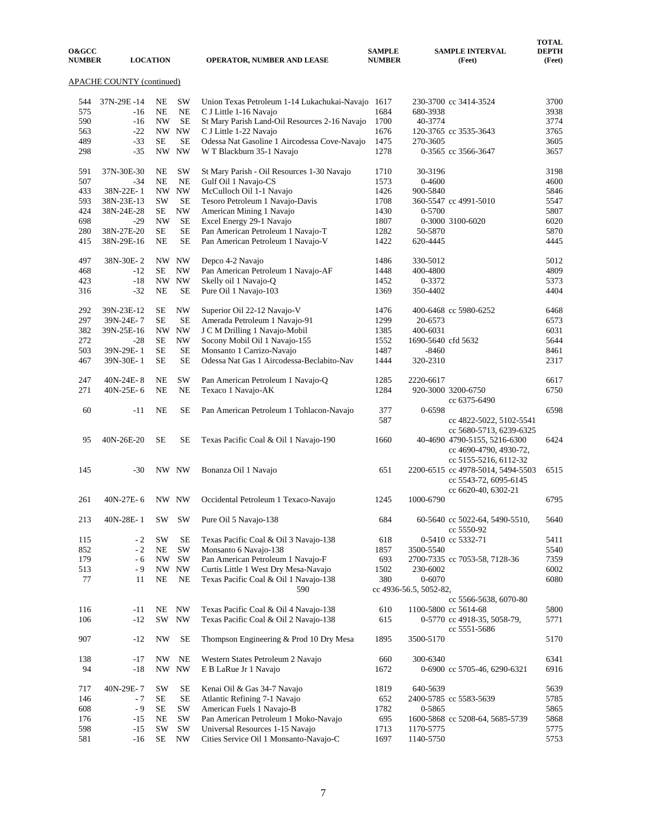| <b>O&amp;GCC</b><br><b>NUMBER</b> |                           | <b>LOCATION</b>          |           | <b>OPERATOR, NUMBER AND LEASE</b>                 | <b>SAMPLE</b><br><b>NUMBER</b> |                        | <b>SAMPLE INTERVAL</b><br>(Feet)  | <b>TOTAL</b><br><b>DEPTH</b><br>(Feet) |
|-----------------------------------|---------------------------|--------------------------|-----------|---------------------------------------------------|--------------------------------|------------------------|-----------------------------------|----------------------------------------|
|                                   | APACHE COUNTY (continued) |                          |           |                                                   |                                |                        |                                   |                                        |
| 544                               | 37N-29E-14                | NE                       | SW        | Union Texas Petroleum 1-14 Lukachukai-Navajo 1617 |                                |                        | 230-3700 cc 3414-3524             | 3700                                   |
| 575                               | $-16$                     | <b>NE</b>                | <b>NE</b> | C J Little 1-16 Navajo                            | 1684                           | 680-3938               |                                   | 3938                                   |
| 590                               | $-16$                     | <b>NW</b>                | <b>SE</b> | St Mary Parish Land-Oil Resources 2-16 Navajo     | 1700                           | 40-3774                |                                   | 3774                                   |
| 563                               | $-22$                     |                          | NW NW     | C J Little 1-22 Navajo                            | 1676                           |                        | 120-3765 cc 3535-3643             | 3765                                   |
|                                   |                           |                          |           |                                                   |                                |                        |                                   |                                        |
| 489                               | $-33$                     | <b>SE</b>                | <b>SE</b> | Odessa Nat Gasoline 1 Aircodessa Cove-Navajo      | 1475                           | 270-3605               |                                   | 3605                                   |
| 298                               | $-35$                     |                          | NW NW     | W T Blackburn 35-1 Navajo                         | 1278                           |                        | 0-3565 cc 3566-3647               | 3657                                   |
| 591                               | 37N-30E-30                | NE                       | SW        | St Mary Parish - Oil Resources 1-30 Navajo        | 1710                           | 30-3196                |                                   | 3198                                   |
| 507                               | $-34$                     | NE                       | <b>NE</b> | Gulf Oil 1 Navajo-CS                              | 1573                           | 0-4600                 |                                   | 4600                                   |
| 433                               | 38N-22E-1                 | NW.                      | <b>NW</b> | McCulloch Oil 1-1 Navajo                          | 1426                           | 900-5840               |                                   | 5846                                   |
| 593                               | 38N-23E-13                | <b>SW</b>                | <b>SE</b> | Tesoro Petroleum 1 Navajo-Davis                   | 1708                           |                        | 360-5547 cc 4991-5010             | 5547                                   |
| 424                               | 38N-24E-28                | SE                       | <b>NW</b> | American Mining 1 Navajo                          | 1430                           | 0-5700                 |                                   | 5807                                   |
| 698                               | $-29$                     | <b>NW</b>                | <b>SE</b> | Excel Energy 29-1 Navajo                          | 1807                           |                        | 0-3000 3100-6020                  | 6020                                   |
| 280                               | 38N-27E-20                | <b>SE</b>                | <b>SE</b> | Pan American Petroleum 1 Navajo-T                 | 1282                           | 50-5870                |                                   | 5870                                   |
| 415                               | 38N-29E-16                | NE                       | $\rm SE$  | Pan American Petroleum 1 Navajo-V                 | 1422                           | 620-4445               |                                   | 4445                                   |
| 497                               | 38N-30E-2                 |                          | NW NW     | Depco 4-2 Navajo                                  | 1486                           | 330-5012               |                                   | 5012                                   |
| 468                               | $-12$                     | SE                       | <b>NW</b> | Pan American Petroleum 1 Navajo-AF                | 1448                           | 400-4800               |                                   | 4809                                   |
| 423                               | $-18$                     |                          | NW NW     | Skelly oil 1 Navajo-Q                             | 1452                           | 0-3372                 |                                   | 5373                                   |
| 316                               | $-32$                     | NE                       | <b>SE</b> | Pure Oil 1 Navajo-103                             | 1369                           | 350-4402               |                                   | 4404                                   |
| 292                               | 39N-23E-12                | SE                       | <b>NW</b> | Superior Oil 22-12 Navajo-V                       | 1476                           |                        | 400-6468 cc 5980-6252             | 6468                                   |
| 297                               | 39N-24E-7                 | SE                       | <b>SE</b> | Amerada Petroleum 1 Navajo-91                     | 1299                           | 20-6573                |                                   | 6573                                   |
| 382                               | 39N-25E-16                | <b>NW</b>                | <b>NW</b> | J C M Drilling 1 Navajo-Mobil                     | 1385                           | 400-6031               |                                   | 6031                                   |
| 272                               | $-28$                     | SE                       | <b>NW</b> | Socony Mobil Oil 1 Navajo-155                     | 1552                           | 1690-5640 cfd 5632     |                                   | 5644                                   |
| 503                               | 39N-29E-1                 | <b>SE</b>                | <b>SE</b> | Monsanto 1 Carrizo-Navajo                         | 1487                           | $-8460$                |                                   | 8461                                   |
| 467                               | 39N-30E-1                 | <b>SE</b>                | <b>SE</b> | Odessa Nat Gas 1 Aircodessa-Beclabito-Nav         | 1444                           | 320-2310               |                                   | 2317                                   |
|                                   |                           |                          |           |                                                   |                                |                        |                                   |                                        |
| 247                               | 40N-24E-8                 | <b>NE</b>                | <b>SW</b> | Pan American Petroleum 1 Navajo-Q                 | 1285                           | 2220-6617              |                                   | 6617                                   |
| 271                               | 40N-25E-6                 | NE                       | <b>NE</b> | Texaco 1 Navajo-AK                                | 1284                           |                        | 920-3000 3200-6750                | 6750                                   |
|                                   |                           |                          |           |                                                   |                                |                        | cc 6375-6490                      |                                        |
| 60                                | $-11$                     | <b>NE</b>                | <b>SE</b> | Pan American Petroleum 1 Tohlacon-Navajo          | 377                            | 0-6598                 |                                   | 6598                                   |
|                                   |                           |                          |           |                                                   | 587                            |                        | cc 4822-5022, 5102-5541           |                                        |
|                                   |                           |                          |           |                                                   |                                |                        | cc 5680-5713, 6239-6325           |                                        |
| 95                                | 40N-26E-20                | SE                       | SE        |                                                   | 1660                           |                        |                                   | 6424                                   |
|                                   |                           |                          |           | Texas Pacific Coal & Oil 1 Navajo-190             |                                |                        | 40-4690 4790-5155, 5216-6300      |                                        |
|                                   |                           |                          |           |                                                   |                                |                        | cc 4690-4790, 4930-72,            |                                        |
|                                   |                           |                          |           |                                                   |                                |                        | cc 5155-5216, 6112-32             |                                        |
| 145                               | $-30$                     |                          | NW NW     | Bonanza Oil 1 Navajo                              | 651                            |                        | 2200-6515 cc 4978-5014, 5494-5503 | 6515                                   |
|                                   |                           |                          |           |                                                   |                                |                        | cc 5543-72, 6095-6145             |                                        |
|                                   |                           |                          |           |                                                   |                                |                        | cc 6620-40, 6302-21               |                                        |
| 261                               | 40N-27E-6                 |                          | NW NW     | Occidental Petroleum 1 Texaco-Navajo              | 1245                           | 1000-6790              |                                   | 6795                                   |
| 213                               | 40N-28E-1                 | SW                       | <b>SW</b> | Pure Oil 5 Navajo-138                             | 684                            |                        | 60-5640 cc 5022-64, 5490-5510,    | 5640                                   |
|                                   |                           |                          |           |                                                   |                                |                        | cc 5550-92                        |                                        |
| 115                               | $-2$                      | <b>SW</b>                | $\rm SE$  | Texas Pacific Coal & Oil 3 Navajo-138             | 618                            |                        | 0-5410 cc 5332-71                 | 5411                                   |
| 852                               | $-2$                      | $\rm NE$                 | SW        | Monsanto 6 Navajo-138                             | 1857                           | 3500-5540              |                                   | 5540                                   |
| 179                               | - 6                       | $\ensuremath{\text{NW}}$ | SW        | Pan American Petroleum 1 Navajo-F                 | 693                            |                        | 2700-7335 cc 7053-58, 7128-36     | 7359                                   |
| 513                               | - 9                       | NW                       | NW        | Curtis Little 1 West Dry Mesa-Navajo              | 1502                           | 230-6002               |                                   | 6002                                   |
| 77                                | 11                        | NE                       | NE        | Texas Pacific Coal & Oil 1 Navajo-138             | 380                            | $0 - 6070$             |                                   | 6080                                   |
|                                   |                           |                          |           | 590                                               |                                | cc 4936-56.5, 5052-82, |                                   |                                        |
|                                   |                           |                          |           |                                                   |                                |                        | cc 5566-5638, 6070-80             |                                        |
| 116                               | $-11$                     | NE                       | <b>NW</b> | Texas Pacific Coal & Oil 4 Navajo-138             | 610                            |                        | 1100-5800 cc 5614-68              | 5800                                   |
| 106                               | $-12$                     |                          | SW NW     | Texas Pacific Coal & Oil 2 Navajo-138             | 615                            |                        | 0-5770 cc 4918-35, 5058-79,       | 5771                                   |
|                                   |                           |                          |           |                                                   |                                |                        | cc 5551-5686                      |                                        |
| 907                               | $-12$                     | NW                       | SE        | Thompson Engineering & Prod 10 Dry Mesa           | 1895                           | 3500-5170              |                                   | 5170                                   |
| 138                               | $-17$                     | NW                       | $\rm NE$  | Western States Petroleum 2 Navajo                 | 660                            | 300-6340               |                                   | 6341                                   |
| 94                                | -18                       |                          | NW NW     | E B LaRue Jr 1 Navajo                             | 1672                           |                        | 0-6900 cc 5705-46, 6290-6321      | 6916                                   |
|                                   |                           |                          |           |                                                   |                                |                        |                                   |                                        |
| 717                               | 40N-29E-7                 | SW                       | $\rm SE$  | Kenai Oil & Gas 34-7 Navajo                       | 1819                           | 640-5639               |                                   | 5639                                   |
| 146                               | $-7$                      | $\rm SE$                 | $\rm SE$  | Atlantic Refining 7-1 Navajo                      | 652                            |                        | 2400-5785 cc 5583-5639            | 5785                                   |
| 608                               | $-9$                      | SE                       | SW        | American Fuels 1 Navajo-B                         | 1782                           | 0-5865                 |                                   | 5865                                   |
| 176                               | -15                       | NE                       | SW        | Pan American Petroleum 1 Moko-Navajo              | 695                            |                        | 1600-5868 cc 5208-64, 5685-5739   | 5868                                   |
| 598                               | $-15$                     | <b>SW</b>                | SW        | Universal Resources 1-15 Navajo                   | 1713                           | 1170-5775              |                                   | 5775                                   |
| 581                               | -16                       | SE                       | NW        | Cities Service Oil 1 Monsanto-Navajo-C            | 1697                           | 1140-5750              |                                   | 5753                                   |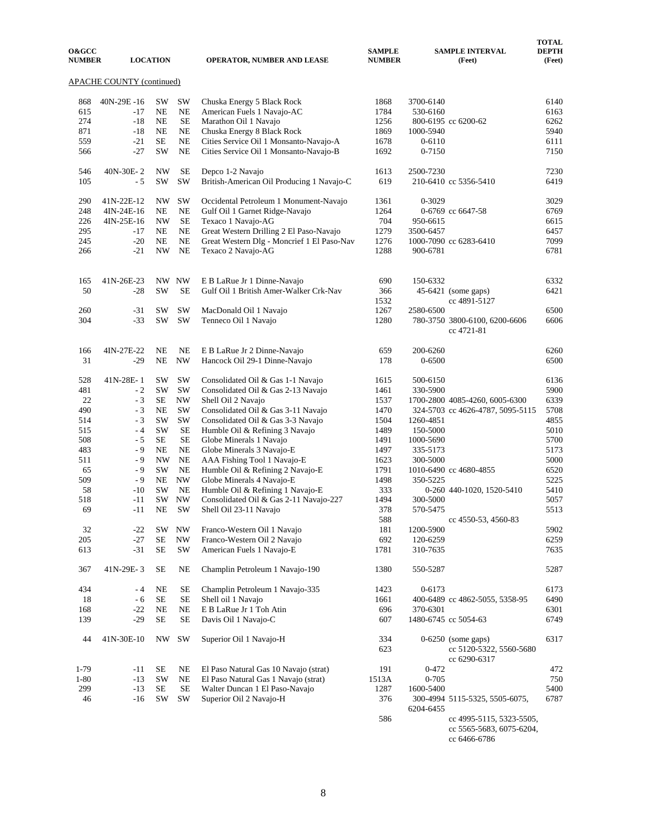| <b>O&amp;GCC</b><br><b>NUMBER</b> |                           | <b>LOCATION</b> |                        | <b>OPERATOR, NUMBER AND LEASE</b>          | <b>SAMPLE</b><br><b>NUMBER</b> |            | <b>SAMPLE INTERVAL</b><br>(Feet)                                | <b>TOTAL</b><br><b>DEPTH</b><br>(Feet) |
|-----------------------------------|---------------------------|-----------------|------------------------|--------------------------------------------|--------------------------------|------------|-----------------------------------------------------------------|----------------------------------------|
|                                   | APACHE COUNTY (continued) |                 |                        |                                            |                                |            |                                                                 |                                        |
| 868                               | 40N-29E-16                | SW              | SW                     | Chuska Energy 5 Black Rock                 | 1868                           | 3700-6140  |                                                                 | 6140                                   |
| 615                               | $-17$                     | <b>NE</b>       | NE                     | American Fuels 1 Navajo-AC                 | 1784                           | 530-6160   |                                                                 | 6163                                   |
| 274                               | $-18$                     | <b>NE</b>       | <b>SE</b>              | Marathon Oil 1 Navajo                      | 1256                           |            | 800-6195 cc 6200-62                                             | 6262                                   |
| 871                               | $-18$                     | NE              | $_{\rm NE}$            | Chuska Energy 8 Black Rock                 | 1869                           | 1000-5940  |                                                                 | 5940                                   |
| 559                               | $-21$                     | SE              | <b>NE</b>              | Cities Service Oil 1 Monsanto-Navajo-A     | 1678                           | $0 - 6110$ |                                                                 | 6111                                   |
| 566                               | $-27$                     | SW              | <b>NE</b>              | Cities Service Oil 1 Monsanto-Navajo-B     | 1692                           | $0 - 7150$ |                                                                 | 7150                                   |
| 546                               | 40N-30E-2                 | <b>NW</b>       | <b>SE</b>              | Depco 1-2 Navajo                           | 1613                           | 2500-7230  |                                                                 | 7230                                   |
| 105                               | - 5                       | SW              | SW                     | British-American Oil Producing 1 Navajo-C  | 619                            |            | 210-6410 cc 5356-5410                                           | 6419                                   |
| 290                               | 41N-22E-12                | NW              | SW                     | Occidental Petroleum 1 Monument-Navajo     | 1361                           | $0 - 3029$ |                                                                 | 3029                                   |
| 248                               | 4IN-24E-16                | NE              | <b>NE</b>              | Gulf Oil 1 Garnet Ridge-Navajo             | 1264                           |            | 0-6769 cc 6647-58                                               | 6769                                   |
| 226                               | 4IN-25E-16                | <b>NW</b>       | SE                     | Texaco 1 Navajo-AG                         | 704                            | 950-6615   |                                                                 | 6615                                   |
| 295                               | $-17$                     | NE              | $\rm NE$               | Great Western Drilling 2 El Paso-Navajo    | 1279                           | 3500-6457  |                                                                 | 6457                                   |
| 245                               | $-20$                     | <b>NE</b>       | NE                     | Great Western Dlg - Moncrief 1 El Paso-Nav | 1276                           |            | 1000-7090 cc 6283-6410                                          | 7099                                   |
| 266                               | $-21$                     | <b>NW</b>       | NE                     | Texaco 2 Navajo-AG                         | 1288                           | 900-6781   |                                                                 | 6781                                   |
| 165                               | 41N-26E-23                |                 | NW NW                  | E B LaRue Jr 1 Dinne-Navajo                | 690                            | 150-6332   |                                                                 | 6332                                   |
| 50                                | $-28$                     | <b>SW</b>       | <b>SE</b>              | Gulf Oil 1 British Amer-Walker Crk-Nav     | 366                            |            | 45-6421 (some gaps)                                             | 6421                                   |
|                                   |                           |                 |                        |                                            | 1532                           |            | cc 4891-5127                                                    |                                        |
| 260                               | $-31$                     | SW              | <b>SW</b>              | MacDonald Oil 1 Navajo                     | 1267                           | 2580-6500  |                                                                 | 6500                                   |
| 304                               | $-33$                     | <b>SW</b>       | <b>SW</b>              | Tenneco Oil 1 Navajo                       | 1280                           |            | 780-3750 3800-6100, 6200-6606<br>cc 4721-81                     | 6606                                   |
| 166                               | 4IN-27E-22                | NE              | <b>NE</b>              | E B LaRue Jr 2 Dinne-Navajo                | 659                            | 200-6260   |                                                                 | 6260                                   |
| 31                                | $-29$                     | NE              | <b>NW</b>              | Hancock Oil 29-1 Dinne-Navajo              | 178                            | $0 - 6500$ |                                                                 | 6500                                   |
| 528                               | 41N-28E-1                 | <b>SW</b>       | <b>SW</b>              | Consolidated Oil & Gas 1-1 Navajo          | 1615                           | 500-6150   |                                                                 | 6136                                   |
| 481                               | $-2$                      | SW              | SW                     | Consolidated Oil & Gas 2-13 Navajo         | 1461                           | 330-5900   |                                                                 | 5900                                   |
| 22                                | - 3                       | SE              | NW                     | Shell Oil 2 Navajo                         | 1537                           |            | 1700-2800 4085-4260, 6005-6300                                  | 6339                                   |
| 490                               | $-3$                      | <b>NE</b>       | SW                     | Consolidated Oil & Gas 3-11 Navajo         | 1470                           |            | 324-5703 cc 4626-4787, 5095-5115                                | 5708                                   |
| 514                               | $-3$                      | SW              | SW                     | Consolidated Oil & Gas 3-3 Navajo          | 1504                           | 1260-4851  |                                                                 | 4855                                   |
| 515                               | $-4$                      | SW              | <b>SE</b>              | Humble Oil & Refining 3 Navajo             | 1489                           | 150-5000   |                                                                 | 5010                                   |
| 508                               | $-5$                      | SE              | <b>SE</b>              | Globe Minerals 1 Navajo                    | 1491                           | 1000-5690  |                                                                 | 5700                                   |
| 483                               | - 9                       | <b>NE</b>       | $\rm NE$               | Globe Minerals 3 Navajo-E                  | 1497                           | 335-5173   |                                                                 | 5173                                   |
| 511                               | - 9                       | <b>NW</b>       | NE                     | AAA Fishing Tool 1 Navajo-E                | 1623                           | 300-5000   |                                                                 | 5000                                   |
| 65                                | - 9                       | SW              | <b>NE</b>              | Humble Oil & Refining 2 Navajo-E           | 1791                           |            | 1010-6490 cc 4680-4855                                          | 6520                                   |
| 509                               | $-9$                      | $\rm NE$        | $\mathbf{N}\mathbf{W}$ | Globe Minerals 4 Navajo-E                  | 1498                           | 350-5225   |                                                                 | 5225                                   |
| 58                                | $-10$                     | SW              | <b>NE</b>              | Humble Oil & Refining 1 Navajo-E           | 333                            |            | 0-260 440-1020, 1520-5410                                       | 5410                                   |
| 518                               | $-11$                     | SW              | <b>NW</b>              | Consolidated Oil & Gas 2-11 Navajo-227     | 1494                           | 300-5000   |                                                                 | 5057                                   |
| 69                                | $-11$                     | NE              | SW                     | Shell Oil 23-11 Navajo                     | 378                            | 570-5475   |                                                                 | 5513                                   |
|                                   |                           |                 |                        |                                            | 588                            |            | cc 4550-53, 4560-83                                             |                                        |
| 32                                | $-22$                     | SW.             | NW                     | Franco-Western Oil 1 Navajo                | 181                            | 1200-5900  |                                                                 | 5902                                   |
| 205                               | $-27$                     | $\rm SE$        | <b>NW</b>              | Franco-Western Oil 2 Navajo                | 692                            | 120-6259   |                                                                 | 6259                                   |
| 613                               | $-31$                     | $\rm SE$        | SW                     | American Fuels 1 Navajo-E                  | 1781                           | 310-7635   |                                                                 | 7635                                   |
| 367                               | 41N-29E-3                 | <b>SE</b>       | NE                     | Champlin Petroleum 1 Navajo-190            | 1380                           | 550-5287   |                                                                 | 5287                                   |
| 434                               | - 4                       | NE              | <b>SE</b>              | Champlin Petroleum 1 Navajo-335            | 1423                           | $0 - 6173$ |                                                                 | 6173                                   |
| 18                                | $-6$                      | $\rm SE$        | $\rm SE$               | Shell oil 1 Navajo                         | 1661                           |            | 400-6489 cc 4862-5055, 5358-95                                  | 6490                                   |
| 168                               | $-22$                     | NE              | $\rm NE$               | E B LaRue Jr 1 Toh Atin                    | 696                            | 370-6301   |                                                                 | 6301                                   |
| 139                               | $-29$                     | $\rm SE$        | <b>SE</b>              | Davis Oil 1 Navajo-C                       | 607                            |            | 1480-6745 cc 5054-63                                            | 6749                                   |
| 44                                | 41N-30E-10                | NW              | SW                     | Superior Oil 1 Navajo-H                    | 334<br>623                     |            | $0-6250$ (some gaps)<br>cc 5120-5322, 5560-5680<br>cc 6290-6317 | 6317                                   |
| $1-79$                            | $-11$                     | SE              | NE                     | El Paso Natural Gas 10 Navajo (strat)      | 191                            | $0 - 472$  |                                                                 | 472                                    |
| $1 - 80$                          | $-13$                     | SW              | NE                     | El Paso Natural Gas 1 Navajo (strat)       | 1513A                          | $0 - 705$  |                                                                 | 750                                    |
| 299                               | $-13$                     | $\rm SE$        | <b>SE</b>              | Walter Duncan 1 El Paso-Navajo             | 1287                           | 1600-5400  |                                                                 | 5400                                   |
| 46                                | $-16$                     | SW              | $\mathrm{SW}$          | Superior Oil 2 Navajo-H                    | 376<br>586                     | 6204-6455  | 300-4994 5115-5325, 5505-6075,<br>cc 4995-5115, 5323-5505,      | 6787                                   |
|                                   |                           |                 |                        |                                            |                                |            | cc 5565-5683, 6075-6204,<br>cc 6466-6786                        |                                        |

8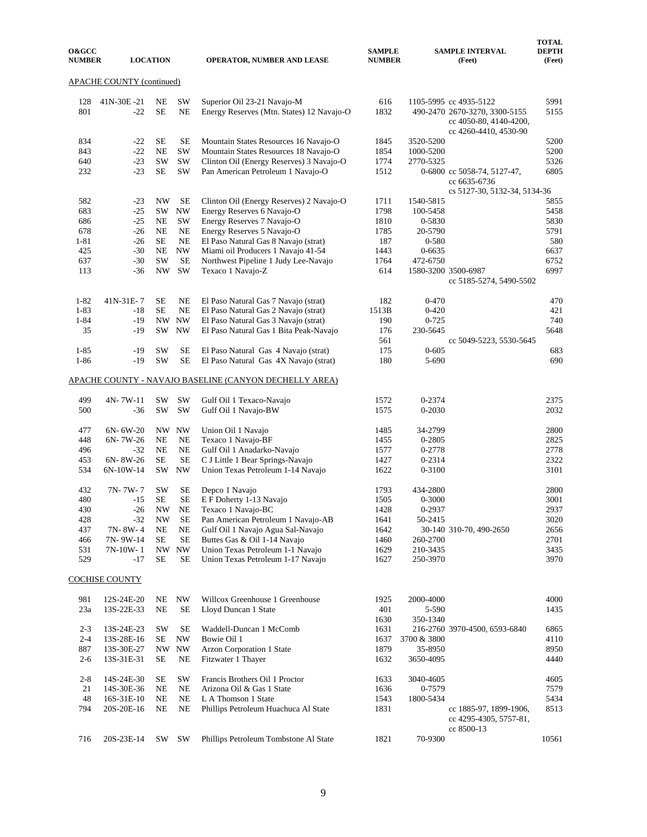| <b>O&amp;GCC</b><br><b>NUMBER</b> |                           | <b>LOCATION</b> |                        | <b>OPERATOR, NUMBER AND LEASE</b>                                              | <b>SAMPLE</b><br><b>NUMBER</b> |                        | <b>SAMPLE INTERVAL</b><br>(Feet)                                                                           | <b>TOTAL</b><br><b>DEPTH</b><br>(Feet) |
|-----------------------------------|---------------------------|-----------------|------------------------|--------------------------------------------------------------------------------|--------------------------------|------------------------|------------------------------------------------------------------------------------------------------------|----------------------------------------|
|                                   | APACHE COUNTY (continued) |                 |                        |                                                                                |                                |                        |                                                                                                            |                                        |
| 128<br>801                        | 41N-30E-21<br>$-22$       | NE<br><b>SE</b> | <b>SW</b><br><b>NE</b> | Superior Oil 23-21 Navajo-M<br>Energy Reserves (Mtn. States) 12 Navajo-O       | 616<br>1832                    |                        | 1105-5995 cc 4935-5122<br>490-2470 2670-3270, 3300-5155<br>cc 4050-80, 4140-4200,<br>cc 4260-4410, 4530-90 | 5991<br>5155                           |
| 834<br>843                        | $-22$<br>$-22$            | SE<br><b>NE</b> | SE<br><b>SW</b>        | Mountain States Resources 16 Navajo-O<br>Mountain States Resources 18 Navajo-O | 1845<br>1854                   | 3520-5200<br>1000-5200 |                                                                                                            | 5200<br>5200                           |
| 640<br>232                        | $-23$<br>$-23$            | SW<br><b>SE</b> | <b>SW</b><br><b>SW</b> | Clinton Oil (Energy Reserves) 3 Navajo-O<br>Pan American Petroleum 1 Navajo-O  | 1774<br>1512                   | 2770-5325              | 0-6800 cc 5058-74, 5127-47,<br>cc 6635-6736                                                                | 5326<br>6805                           |
|                                   |                           |                 |                        |                                                                                |                                |                        | cs 5127-30, 5132-34, 5134-36                                                                               |                                        |
| 582                               | $-23$                     | NW              | <b>SE</b>              | Clinton Oil (Energy Reserves) 2 Navajo-O                                       | 1711                           | 1540-5815              |                                                                                                            | 5855                                   |
| 683                               | $-25$                     | SW              | <b>NW</b>              | Energy Reserves 6 Navajo-O                                                     | 1798                           | 100-5458               |                                                                                                            | 5458                                   |
| 686                               | $-25$                     | NE              | <b>SW</b>              | Energy Reserves 7 Navajo-O                                                     | 1810                           | 0-5830                 |                                                                                                            | 5830                                   |
| 678                               | $-26$                     | <b>NE</b>       | <b>NE</b>              | Energy Reserves 5 Navajo-O                                                     | 1785                           | 20-5790                |                                                                                                            | 5791                                   |
| $1 - 81$                          | $-26$                     | <b>SE</b>       | <b>NE</b>              | El Paso Natural Gas 8 Navajo (strat)                                           | 187                            | 0-580                  |                                                                                                            | 580                                    |
| 425                               | $-30$                     | NE              | <b>NW</b>              | Miami oil Producers 1 Navajo 41-54                                             | 1443                           | 0-6635                 |                                                                                                            | 6637                                   |
| 637                               | $-30$                     | SW              | <b>SE</b><br>SW        | Northwest Pipeline 1 Judy Lee-Navajo                                           | 1764                           | 472-6750               |                                                                                                            | 6752<br>6997                           |
| 113                               | $-36$                     | NW              |                        | Texaco 1 Navajo-Z                                                              | 614                            |                        | 1580-3200 3500-6987<br>cc 5185-5274, 5490-5502                                                             |                                        |
| $1 - 82$                          | 41N-31E-7                 | SE              | NE                     | El Paso Natural Gas 7 Navajo (strat)                                           | 182                            | $0 - 470$              |                                                                                                            | 470                                    |
| $1 - 83$                          | $-18$                     | <b>SE</b>       | <b>NE</b>              | El Paso Natural Gas 2 Navajo (strat)                                           | 1513B                          | $0 - 420$              |                                                                                                            | 421                                    |
| $1 - 84$                          | $-19$                     |                 | NW NW                  | El Paso Natural Gas 3 Navajo (strat)                                           | 190                            | $0 - 725$              |                                                                                                            | 740                                    |
| 35                                | $-19$                     | SW              | <b>NW</b>              | El Paso Natural Gas 1 Bita Peak-Navajo                                         | 176                            | 230-5645               |                                                                                                            | 5648                                   |
|                                   |                           |                 |                        |                                                                                | 561                            |                        | cc 5049-5223, 5530-5645                                                                                    |                                        |
| $1 - 85$                          | $-19$                     | SW              | SE                     | El Paso Natural Gas 4 Navajo (strat)                                           | 175                            | $0 - 605$              |                                                                                                            | 683                                    |
| $1 - 86$                          | $-19$                     | SW              | <b>SE</b>              | El Paso Natural Gas 4X Navajo (strat)                                          | 180                            | 5-690                  |                                                                                                            | 690                                    |
|                                   |                           |                 |                        | APACHE COUNTY - NAVAJO BASELINE (CANYON DECHELLY AREA)                         |                                |                        |                                                                                                            |                                        |
| 499                               | 4N-7W-11                  | SW              | <b>SW</b>              | Gulf Oil 1 Texaco-Navajo                                                       | 1572                           | 0-2374                 |                                                                                                            | 2375                                   |
| 500                               | -36                       | SW              | SW                     | Gulf Oil 1 Navajo-BW                                                           | 1575                           | 0-2030                 |                                                                                                            | 2032                                   |
| 477                               | $6N - 6W - 20$            |                 | NW NW                  | Union Oil 1 Navajo                                                             | 1485                           | 34-2799                |                                                                                                            | 2800                                   |
| 448                               | $6N - 7W - 26$            | NE              | <b>NE</b>              | Texaco 1 Navajo-BF                                                             | 1455                           | 0-2805                 |                                                                                                            | 2825                                   |
| 496                               | $-32$                     | NE              | <b>NE</b>              | Gulf Oil 1 Anadarko-Navajo                                                     | 1577                           | 0-2778                 |                                                                                                            | 2778                                   |
| 453                               | 6N-8W-26                  | <b>SE</b>       | <b>SE</b>              | C J Little 1 Bear Springs-Navajo                                               | 1427                           | 0-2314                 |                                                                                                            | 2322                                   |
| 534                               | 6N-10W-14                 | SW              | <b>NW</b>              | Union Texas Petroleum 1-14 Navajo                                              | 1622                           | 0-3100                 |                                                                                                            | 3101                                   |
| 432                               | 7N-7W-7                   | SW              | SE                     | Depco 1 Navajo                                                                 | 1793                           | 434-2800               |                                                                                                            | 2800                                   |
| 480                               | $-15$                     | <b>SE</b>       | <b>SE</b>              | E F Doherty 1-13 Navajo                                                        | 1505                           | 0-3000                 |                                                                                                            | 3001                                   |
| 430                               | $-26$                     | NW              | <b>NE</b>              | Texaco 1 Navajo-BC                                                             | 1428                           | 0-2937                 |                                                                                                            | 2937                                   |
| 428                               | $-32$                     | <b>NW</b>       | SE                     | Pan American Petroleum 1 Navajo-AB                                             | 1641                           | 50-2415                |                                                                                                            | 3020                                   |
| 437                               | 7N-8W-4                   | NE              | NE                     | Gulf Oil 1 Navajo Agua Sal-Navajo                                              | 1642                           |                        | 30-140 310-70, 490-2650                                                                                    | 2656                                   |
| 466                               | 7N-9W-14                  | SЕ              | <b>SE</b>              | Buttes Gas & Oil 1-14 Navajo                                                   | 1460                           | 260-2700               |                                                                                                            | 2701                                   |
| 531<br>529                        | 7N-10W-1<br>-17           | <b>SE</b>       | NW NW<br>SE            | Union Texas Petroleum 1-1 Navajo<br>Union Texas Petroleum 1-17 Navajo          | 1629<br>1627                   | 210-3435<br>250-3970   |                                                                                                            | 3435<br>3970                           |
|                                   | COCHISE COUNTY            |                 |                        |                                                                                |                                |                        |                                                                                                            |                                        |
|                                   |                           |                 |                        | Willcox Greenhouse 1 Greenhouse                                                |                                | 2000-4000              |                                                                                                            |                                        |
| 981<br>23a                        | 12S-24E-20<br>13S-22E-33  | NE<br>NE        | NW<br>SЕ               | Lloyd Duncan 1 State                                                           | 1925<br>401                    | 5-590                  |                                                                                                            | 4000<br>1435                           |
|                                   |                           |                 |                        |                                                                                | 1630                           | 350-1340               |                                                                                                            |                                        |
| $2 - 3$                           | 13S-24E-23                | SW              | SE                     | Waddell-Duncan 1 McComb                                                        | 1631                           |                        | 216-2760 3970-4500, 6593-6840                                                                              | 6865                                   |
| $2 - 4$                           | 13S-28E-16                | SE              | <b>NW</b>              | Bowie Oil 1                                                                    | 1637                           | 3700 & 3800            |                                                                                                            | 4110                                   |
| 887                               | 13S-30E-27                | NW.             | <b>NW</b>              | Arzon Corporation 1 State                                                      | 1879                           | 35-8950                |                                                                                                            | 8950                                   |
| $2 - 6$                           | 13S-31E-31                | SE              | NE                     | Fitzwater 1 Thayer                                                             | 1632                           | 3650-4095              |                                                                                                            | 4440                                   |
| $2 - 8$                           | 14S-24E-30                | SE              | SW                     | Francis Brothers Oil 1 Proctor                                                 | 1633                           | 3040-4605              |                                                                                                            | 4605                                   |
| 21                                | 14S-30E-36                | NE              | <b>NE</b>              | Arizona Oil & Gas 1 State                                                      | 1636                           | 0-7579                 |                                                                                                            | 7579                                   |
| 48                                | 16S-31E-10                | NE              | <b>NE</b>              | L A Thomson 1 State                                                            | 1543                           | 1800-5434              |                                                                                                            | 5434                                   |
| 794                               | 20S-20E-16                | NE              | NE                     | Phillips Petroleum Huachuca Al State                                           | 1831                           |                        | cc 1885-97, 1899-1906,<br>cc 4295-4305, 5757-81,<br>cc 8500-13                                             | 8513                                   |
| 716                               | 20S-23E-14                | SW              | SW                     | Phillips Petroleum Tombstone Al State                                          | 1821                           | 70-9300                |                                                                                                            | 10561                                  |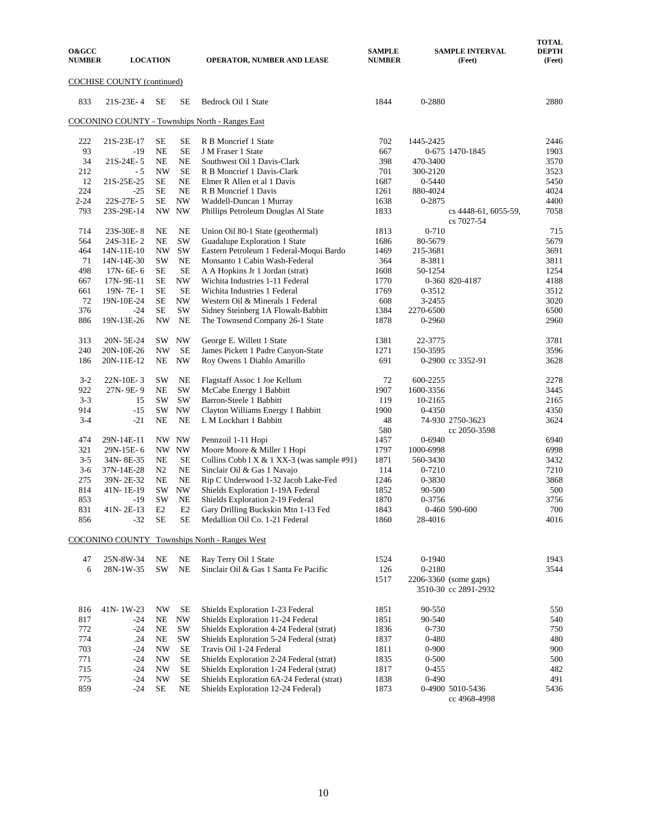| <b>O&amp;GCC</b><br><b>NUMBER</b> | <b>LOCATION</b>              |                          |                          | <b>OPERATOR, NUMBER AND LEASE</b>                                                     | <b>SAMPLE</b><br><b>NUMBER</b> |                    | <b>SAMPLE INTERVAL</b><br>(Feet)              | <b>TOTAL</b><br><b>DEPTH</b><br>(Feet) |
|-----------------------------------|------------------------------|--------------------------|--------------------------|---------------------------------------------------------------------------------------|--------------------------------|--------------------|-----------------------------------------------|----------------------------------------|
|                                   | COCHISE COUNTY (continued)   |                          |                          |                                                                                       |                                |                    |                                               |                                        |
| 833                               | 21S-23E-4                    | SE                       | SE                       | Bedrock Oil 1 State                                                                   | 1844                           | 0-2880             |                                               | 2880                                   |
|                                   |                              |                          |                          | <b>COCONINO COUNTY - Townships North - Ranges East</b>                                |                                |                    |                                               |                                        |
| 222                               | 21S-23E-17                   | SE                       | SE                       | R B Moncrief 1 State                                                                  | 702                            | 1445-2425          |                                               | 2446                                   |
| 93                                | $-19$                        | <b>NE</b>                | <b>SE</b>                | J M Fraser 1 State                                                                    | 667                            |                    | 0-675 1470-1845                               | 1903                                   |
| 34                                | 21S-24E-5                    | <b>NE</b>                | <b>NE</b>                | Southwest Oil 1 Davis-Clark                                                           | 398                            | 470-3400           |                                               | 3570                                   |
| 212                               | - 5                          | <b>NW</b>                | <b>SE</b>                | R B Moncrief 1 Davis-Clark                                                            | 701                            | 300-2120           |                                               | 3523                                   |
| 12                                | 21S-25E-25                   | SE                       | NE                       | Elmer R Allen et al 1 Davis                                                           | 1687                           | 0-5440             |                                               | 5450                                   |
| 224                               | $-25$                        | SE                       | <b>NE</b>                | R B Moncrief 1 Davis                                                                  | 1261                           | 880-4024           |                                               | 4024                                   |
| $2 - 24$                          | 22S-27E-5                    | <b>SE</b>                | <b>NW</b>                | Waddell-Duncan 1 Murray                                                               | 1638                           | 0-2875             |                                               | 4400                                   |
| 793                               | 23S-29E-14                   | $\ensuremath{\text{NW}}$ | <b>NW</b>                | Phillips Petroleum Douglas Al State                                                   | 1833                           |                    | cs 4448-61, 6055-59,<br>cs 7027-54            | 7058                                   |
| 714                               | 23S-30E-8                    | <b>NE</b>                | <b>NE</b>                | Union Oil 80-1 State (geothermal)                                                     | 1813                           | $0 - 710$          |                                               | 715                                    |
| 564                               | 24S-31E-2                    | NE                       | <b>SW</b><br>SW          | Guadalupe Exploration 1 State                                                         | 1686                           | 80-5679            |                                               | 5679<br>3691                           |
| 464<br>71                         | 14N-11E-10                   | NW<br><b>SW</b>          | <b>NE</b>                | Eastern Petroleum 1 Federal-Moqui Bardo                                               | 1469<br>364                    | 215-3681<br>8-3811 |                                               |                                        |
| 498                               | 14N-14E-30<br>$17N - 6E - 6$ | SE                       | <b>SE</b>                | Monsanto 1 Cabin Wash-Federal<br>A A Hopkins Jr 1 Jordan (strat)                      | 1608                           | 50-1254            |                                               | 3811<br>1254                           |
| 667                               | 17N-9E-11                    | SE                       | <b>NW</b>                | Wichita Industries 1-11 Federal                                                       | 1770                           |                    | 0-360 820-4187                                | 4188                                   |
| 661                               | 19N-7E-1                     | <b>SE</b>                | <b>SE</b>                | Wichita Industries 1 Federal                                                          | 1769                           | 0-3512             |                                               | 3512                                   |
| 72                                | 19N-10E-24                   | SE                       | <b>NW</b>                | Western Oil & Minerals 1 Federal                                                      | 608                            | 3-2455             |                                               | 3020                                   |
| 376                               | $-24$                        | SE                       | <b>SW</b>                | Sidney Steinberg 1A Flowalt-Babbitt                                                   | 1384                           | 2270-6500          |                                               | 6500                                   |
| 886                               | 19N-13E-26                   | <b>NW</b>                | NE                       | The Townsend Company 26-1 State                                                       | 1878                           | 0-2960             |                                               | 2960                                   |
| 313                               | 20N-5E-24                    | SW.                      | $\ensuremath{\text{NW}}$ | George E. Willett 1 State                                                             | 1381                           | 22-3775            |                                               | 3781                                   |
| 240                               | 20N-10E-26                   | <b>NW</b>                | <b>SE</b>                | James Pickett 1 Padre Canyon-State                                                    | 1271                           | 150-3595           |                                               | 3596                                   |
| 186                               | 20N-11E-12                   | NE                       | <b>NW</b>                | Roy Owens 1 Diablo Amarillo                                                           | 691                            |                    | 0-2900 cc 3352-91                             | 3628                                   |
| $3-2$                             | 22N-10E-3                    | <b>SW</b>                | NE                       | Flagstaff Assoc 1 Joe Kellum                                                          | 72                             | 600-2255           |                                               | 2278                                   |
| 922                               | 27N-9E-9                     | NE                       | $\mathrm{SW}$            | McCabe Energy 1 Babbitt                                                               | 1907                           | 1600-3356          |                                               | 3445                                   |
| $3 - 3$                           | 15                           | <b>SW</b>                | <b>SW</b>                | Barron-Steele 1 Babbitt                                                               | 119                            | 10-2165            |                                               | 2165                                   |
| 914                               | $-15$                        | <b>SW</b>                | <b>NW</b>                | Clayton Williams Energy 1 Babbitt                                                     | 1900                           | 0-4350             |                                               | 4350                                   |
| $3 - 4$                           | $-21$                        | <b>NE</b>                | <b>NE</b>                | L M Lockhart 1 Babbitt                                                                | 48                             |                    | 74-930 2750-3623                              | 3624                                   |
|                                   |                              |                          |                          |                                                                                       | 580                            |                    | cc 2050-3598                                  |                                        |
| 474                               | 29N-14E-11                   |                          | NW NW                    | Pennzoil 1-11 Hopi                                                                    | 1457                           | 0-6940             |                                               | 6940                                   |
| 321                               | 29N-15E-6                    |                          | NW NW                    | Moore Moore & Miller 1 Hopi                                                           | 1797                           | 1000-6998          |                                               | 6998                                   |
| $3 - 5$<br>$3-6$                  | 34N-8E-35<br>37N-14E-28      | NE<br>N2                 | SE<br>$\rm NE$           | Collins Cobb $1 \times \& 1 \times 3$ (was sample #91)<br>Sinclair Oil & Gas 1 Navajo | 1871<br>114                    | 560-3430<br>0-7210 |                                               | 3432<br>7210                           |
| 275                               | 39N-2E-32                    | <b>NE</b>                | <b>NE</b>                | Rip C Underwood 1-32 Jacob Lake-Fed                                                   | 1246                           | 0-3830             |                                               | 3868                                   |
| 814                               | 41N-1E-19                    | <b>SW</b>                | $\ensuremath{\text{NW}}$ | Shields Exploration 1-19A Federal                                                     | 1852                           | 90-500             |                                               | 500                                    |
| 853                               | $-19$                        | <b>SW</b>                | <b>NE</b>                | Shields Exploration 2-19 Federal                                                      | 1870                           | 0-3756             |                                               | 3756                                   |
| 831                               | 41N-2E-13                    | E2                       | E2                       | Gary Drilling Buckskin Mtn 1-13 Fed                                                   | 1843                           |                    | 0-460 590-600                                 | 700                                    |
| 856                               | $-32$                        | $\rm SE$                 | SE                       | Medallion Oil Co. 1-21 Federal                                                        | 1860                           | 28-4016            |                                               | 4016                                   |
|                                   |                              |                          |                          | COCONINO COUNTY Townships North - Ranges West                                         |                                |                    |                                               |                                        |
| 47                                | 25N-8W-34                    | NE                       | $\rm NE$                 | Ray Terry Oil 1 State                                                                 | 1524                           | $0-1940$           |                                               | 1943                                   |
| 6                                 | 28N-1W-35                    | SW                       | $\rm NE$                 | Sinclair Oil & Gas 1 Santa Fe Pacific                                                 | 126                            | 0-2180             |                                               | 3544                                   |
|                                   |                              |                          |                          |                                                                                       | 1517                           |                    | 2206-3360 (some gaps)<br>3510-30 cc 2891-2932 |                                        |
| 816                               | 41N-1W-23                    | NW                       | <b>SE</b>                | Shields Exploration 1-23 Federal                                                      | 1851                           | 90-550             |                                               | 550                                    |
| 817                               | -24                          | NE                       | $\ensuremath{\text{NW}}$ | Shields Exploration 11-24 Federal                                                     | 1851                           | 90-540             |                                               | 540                                    |
| 772                               | $-24$                        | NE                       | SW                       | Shields Exploration 4-24 Federal (strat)                                              | 1836                           | 0-730              |                                               | 750                                    |
| 774                               | .24                          | NE                       | $\mathrm{SW}$            | Shields Exploration 5-24 Federal (strat)                                              | 1837                           | $0 - 480$          |                                               | 480                                    |
| 703                               | $-24$                        | NW                       | SE                       | Travis Oil 1-24 Federal                                                               | 1811                           | $0 - 900$          |                                               | 900                                    |
| 771                               | $-24$                        | NW                       | <b>SE</b>                | Shields Exploration 2-24 Federal (strat)                                              | 1835                           | $0 - 500$          |                                               | 500                                    |
| 715                               | $-24$                        | NW                       | SЕ                       | Shields Exploration 1-24 Federal (strat)                                              | 1817                           | $0 - 455$          |                                               | 482                                    |
| 775                               | $-24$                        | NW                       | <b>SE</b>                | Shields Exploration 6A-24 Federal (strat)                                             | 1838                           | $0 - 490$          |                                               | 491                                    |
| 859                               | $-24$                        | SE                       | NE                       | Shields Exploration 12-24 Federal)                                                    | 1873                           |                    | 0-4900 5010-5436<br>cc 4968-4998              | 5436                                   |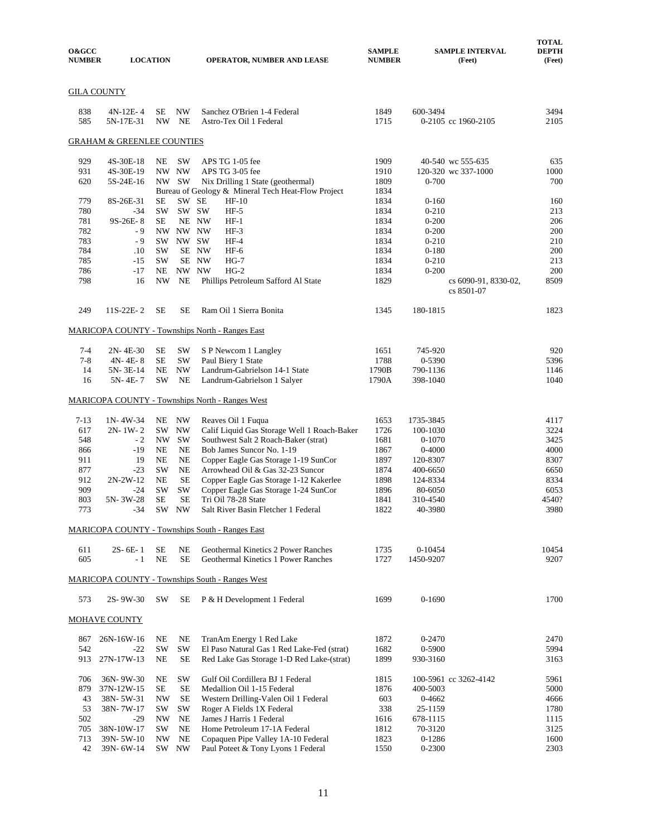| <b>O&amp;GCC</b><br><b>NUMBER</b> |                                       | <b>LOCATION</b> |                        | <b>OPERATOR, NUMBER AND LEASE</b>                                              | <b>SAMPLE</b><br><b>NUMBER</b> |                        | <b>SAMPLE INTERVAL</b><br>(Feet)   | <b>TOTAL</b><br><b>DEPTH</b><br>(Feet) |
|-----------------------------------|---------------------------------------|-----------------|------------------------|--------------------------------------------------------------------------------|--------------------------------|------------------------|------------------------------------|----------------------------------------|
| <b>GILA COUNTY</b>                |                                       |                 |                        |                                                                                |                                |                        |                                    |                                        |
| 838<br>585                        | $4N-12E-4$<br>5N-17E-31               | SЕ              | <b>NW</b><br>NW NE     | Sanchez O'Brien 1-4 Federal<br>Astro-Tex Oil 1 Federal                         | 1849<br>1715                   | 600-3494               | 0-2105 cc 1960-2105                | 3494<br>2105                           |
|                                   | <b>GRAHAM &amp; GREENLEE COUNTIES</b> |                 |                        |                                                                                |                                |                        |                                    |                                        |
| 929                               | 4S-30E-18                             | NE              | <b>SW</b>              | APS TG 1-05 fee                                                                | 1909                           |                        | 40-540 wc 555-635                  | 635                                    |
| 931                               | 4S-30E-19                             |                 | NW NW                  | APS TG 3-05 fee                                                                | 1910                           |                        | 120-320 wc 337-1000                | 1000                                   |
| 620                               | 5S-24E-16                             |                 | NW SW                  | Nix Drilling 1 State (geothermal)                                              | 1809                           | $0 - 700$              |                                    | 700                                    |
|                                   |                                       |                 |                        | Bureau of Geology & Mineral Tech Heat-Flow Project                             | 1834                           |                        |                                    |                                        |
| 779                               | 8S-26E-31                             | <b>SE</b>       |                        | SW SE<br>$HF-10$                                                               | 1834                           | $0 - 160$              |                                    | 160                                    |
| 780                               | $-34$                                 | <b>SW</b>       |                        | SW SW<br>$HF-5$                                                                | 1834                           | $0 - 210$              |                                    | 213                                    |
| 781<br>782                        | 9S-26E-8                              | SЕ              | NW NW NW               | NE NW<br>$HF-1$<br>$HF-3$                                                      | 1834<br>1834                   | $0 - 200$<br>$0 - 200$ |                                    | 206                                    |
| 783                               | - 9<br>$-9$                           | SW.             |                        | NW SW<br>$HF-4$                                                                | 1834                           | $0 - 210$              |                                    | 200<br>210                             |
| 784                               | $.10\,$                               | <b>SW</b>       |                        | SE NW<br>$HF-6$                                                                | 1834                           | $0 - 180$              |                                    | 200                                    |
| 785                               | $-15$                                 | <b>SW</b>       |                        | SE NW<br>$HG-7$                                                                | 1834                           | $0 - 210$              |                                    | 213                                    |
| 786                               | $-17$                                 | NE              |                        | NW NW<br>$HG-2$                                                                | 1834                           | $0 - 200$              |                                    | 200                                    |
| 798                               | 16                                    | <b>NW</b>       | <b>NE</b>              | Phillips Petroleum Safford Al State                                            | 1829                           |                        | cs 6090-91, 8330-02,<br>cs 8501-07 | 8509                                   |
| 249                               | $11S-22E-2$                           | SЕ              | SE                     | Ram Oil 1 Sierra Bonita                                                        | 1345                           | 180-1815               |                                    | 1823                                   |
|                                   |                                       |                 |                        | MARICOPA COUNTY - Townships North - Ranges East                                |                                |                        |                                    |                                        |
| $7-4$                             | $2N - 4E - 30$                        | SЕ              | SW                     | S P Newcom 1 Langley                                                           | 1651                           | 745-920                |                                    | 920                                    |
| $7 - 8$                           | $4N - 4E - 8$                         | <b>SE</b>       | <b>SW</b>              | Paul Biery 1 State                                                             | 1788                           | 0-5390                 |                                    | 5396                                   |
| 14                                | 5N-3E-14                              | NE              | <b>NW</b>              | Landrum-Gabrielson 14-1 State                                                  | 1790B                          | 790-1136               |                                    | 1146                                   |
| 16                                | 5N-4E-7                               | SW              | NE                     | Landrum-Gabrielson 1 Salyer                                                    | 1790A                          | 398-1040               |                                    | 1040                                   |
|                                   |                                       |                 |                        | <b>MARICOPA COUNTY - Townships North - Ranges West</b>                         |                                |                        |                                    |                                        |
| $7 - 13$                          | $1N - 4W - 34$                        | NE              | NW                     | Reaves Oil 1 Fuqua                                                             | 1653                           | 1735-3845              |                                    | 4117                                   |
| 617                               | $2N-1W-2$                             | SW              | <b>NW</b>              | Calif Liquid Gas Storage Well 1 Roach-Baker                                    | 1726                           | 100-1030               |                                    | 3224                                   |
| 548                               | $-2$                                  | NW              | SW                     | Southwest Salt 2 Roach-Baker (strat)                                           | 1681                           | $0 - 1070$             |                                    | 3425                                   |
| 866                               | $-19$                                 | NE              | NE                     | Bob James Suncor No. 1-19                                                      | 1867                           | $0 - 4000$             |                                    | 4000                                   |
| 911                               | 19                                    | NE              | $_{\rm NE}$            | Copper Eagle Gas Storage 1-19 SunCor                                           | 1897                           | 120-8307               |                                    | 8307                                   |
| 877                               | $-23$<br>$2N-2W-12$                   | <b>SW</b>       | <b>NE</b>              | Arrowhead Oil & Gas 32-23 Suncor                                               | 1874                           | 400-6650               |                                    | 6650                                   |
| 912<br>909                        | $-24$                                 | NE<br>SW        | SE<br>SW               | Copper Eagle Gas Storage 1-12 Kakerlee<br>Copper Eagle Gas Storage 1-24 SunCor | 1898<br>1896                   | 124-8334<br>80-6050    |                                    | 8334<br>6053                           |
| 803                               | 5N-3W-28                              | <b>SE</b>       | <b>SE</b>              | Tri Oil 78-28 State                                                            | 1841                           | 310-4540               |                                    | 4540?                                  |
| 773                               | $-34$                                 |                 | SW NW                  | Salt River Basin Fletcher 1 Federal                                            | 1822                           | 40-3980                |                                    | 3980                                   |
|                                   |                                       |                 |                        | <b>MARICOPA COUNTY - Townships South - Ranges East</b>                         |                                |                        |                                    |                                        |
|                                   |                                       |                 |                        |                                                                                |                                |                        |                                    |                                        |
| 611<br>605                        | $2S - 6E - 1$<br>- 1                  | SE<br><b>NE</b> | <b>NE</b><br><b>SE</b> | Geothermal Kinetics 2 Power Ranches<br>Geothermal Kinetics 1 Power Ranches     | 1735<br>1727                   | $0-10454$<br>1450-9207 |                                    | 10454<br>9207                          |
|                                   |                                       |                 |                        | MARICOPA COUNTY - Townships South - Ranges West                                |                                |                        |                                    |                                        |
| 573                               | 2S-9W-30                              | <b>SW</b>       | <b>SE</b>              | P & H Development 1 Federal                                                    | 1699                           | $0-1690$               |                                    | 1700                                   |
|                                   | <b>MOHAVE COUNTY</b>                  |                 |                        |                                                                                |                                |                        |                                    |                                        |
| 867                               | 26N-16W-16                            | NE              | NE                     | TranAm Energy 1 Red Lake                                                       | 1872                           | $0 - 2470$             |                                    | 2470                                   |
| 542                               | $-22$                                 | SW              | SW                     | El Paso Natural Gas 1 Red Lake-Fed (strat)                                     | 1682                           | 0-5900                 |                                    | 5994                                   |
| 913                               | 27N-17W-13                            | NE              | SE                     | Red Lake Gas Storage 1-D Red Lake-(strat)                                      | 1899                           | 930-3160               |                                    | 3163                                   |
| 706                               | 36N-9W-30                             | NE              | <b>SW</b>              | Gulf Oil Cordillera BJ 1 Federal                                               | 1815                           |                        | 100-5961 cc 3262-4142              | 5961                                   |
| 879                               | 37N-12W-15                            | <b>SE</b>       | SE                     | Medallion Oil 1-15 Federal                                                     | 1876                           | 400-5003               |                                    | 5000                                   |
| 43                                | 38N-5W-31                             | <b>NW</b>       | <b>SE</b>              | Western Drilling-Valen Oil 1 Federal                                           | 603                            | 0-4662                 |                                    | 4666                                   |
| 53<br>502                         | 38N-7W-17<br>-29                      | <b>SW</b><br>NW | SW<br>NE               | Roger A Fields 1X Federal<br>James J Harris 1 Federal                          | 338<br>1616                    | 25-1159<br>678-1115    |                                    | 1780<br>1115                           |
| 705                               | 38N-10W-17                            | <b>SW</b>       | <b>NE</b>              | Home Petroleum 17-1A Federal                                                   | 1812                           | 70-3120                |                                    | 3125                                   |
| 713                               | 39N-5W-10                             | NW              | NE                     | Copaquen Pipe Valley 1A-10 Federal                                             | 1823                           | $0-1286$               |                                    | 1600                                   |
| 42                                | 39N-6W-14                             |                 | SW NW                  | Paul Poteet & Tony Lyons 1 Federal                                             | 1550                           | 0-2300                 |                                    | 2303                                   |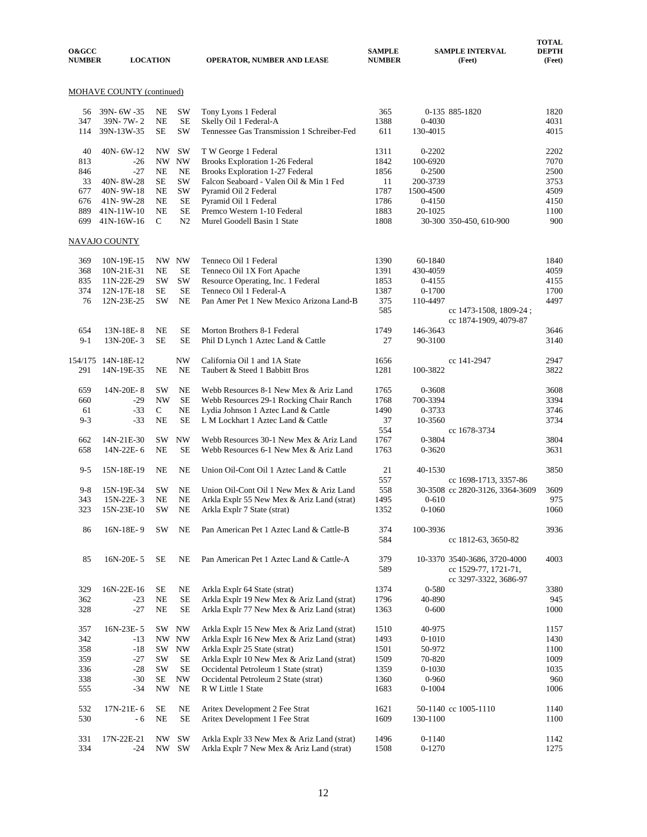| <b>O&amp;GCC</b><br><b>NUMBER</b> |                                  | <b>LOCATION</b> |                             | <b>OPERATOR, NUMBER AND LEASE</b>                                          | <b>SAMPLE</b><br><b>NUMBER</b> |                  | <b>SAMPLE INTERVAL</b><br>(Feet)                     | <b>DEPTH</b><br>(Feet) |
|-----------------------------------|----------------------------------|-----------------|-----------------------------|----------------------------------------------------------------------------|--------------------------------|------------------|------------------------------------------------------|------------------------|
|                                   | <b>MOHAVE COUNTY (continued)</b> |                 |                             |                                                                            |                                |                  |                                                      |                        |
| 56                                | 39N- 6W -35                      | NE              | <b>SW</b>                   | Tony Lyons 1 Federal                                                       | 365                            |                  | 0-135 885-1820                                       | 1820                   |
| 347                               | 39N-7W-2                         | <b>NE</b>       | <b>SE</b>                   | Skelly Oil 1 Federal-A                                                     | 1388                           | 0-4030           |                                                      | 4031                   |
| 114                               | 39N-13W-35                       | <b>SE</b>       | <b>SW</b>                   | Tennessee Gas Transmission 1 Schreiber-Fed                                 | 611                            | 130-4015         |                                                      | 4015                   |
| 40                                | 40N-6W-12                        | NW              | <b>SW</b>                   | T W George 1 Federal                                                       | 1311                           | 0-2202           |                                                      | 2202                   |
| 813                               | $-26$                            | NW -            | <b>NW</b>                   | <b>Brooks Exploration 1-26 Federal</b>                                     | 1842                           | 100-6920         |                                                      | 7070                   |
| 846                               | $-27$                            | <b>NE</b>       | <b>NE</b>                   | Brooks Exploration 1-27 Federal                                            | 1856                           | 0-2500           |                                                      | 2500                   |
| 33                                | 40N-8W-28                        | SE              | <b>SW</b>                   | Falcon Seaboard - Valen Oil & Min 1 Fed                                    | 11                             | 200-3739         |                                                      | 3753                   |
| 677                               | 40N-9W-18                        | <b>NE</b>       | <b>SW</b>                   | Pyramid Oil 2 Federal                                                      | 1787                           | 1500-4500        |                                                      | 4509                   |
| 676                               | 41N-9W-28                        | <b>NE</b>       | <b>SE</b>                   | Pyramid Oil 1 Federal                                                      | 1786                           | 0-4150           |                                                      | 4150                   |
| 889<br>699                        | 41N-11W-10                       | <b>NE</b><br>C  | <b>SE</b><br>N <sub>2</sub> | Premco Western 1-10 Federal<br>Murel Goodell Basin 1 State                 | 1883                           | 20-1025          |                                                      | 1100<br>900            |
|                                   | 41N-16W-16                       |                 |                             |                                                                            | 1808                           |                  | 30-300 350-450, 610-900                              |                        |
|                                   | NAVAJO COUNTY                    |                 |                             |                                                                            |                                |                  |                                                      |                        |
| 369                               | 10N-19E-15                       |                 | NW NW                       | Tenneco Oil 1 Federal                                                      | 1390                           | 60-1840          |                                                      | 1840                   |
| 368                               | 10N-21E-31                       | <b>NE</b>       | <b>SE</b>                   | Tenneco Oil 1X Fort Apache                                                 | 1391                           | 430-4059         |                                                      | 4059                   |
| 835                               | 11N-22E-29                       | <b>SW</b>       | SW                          | Resource Operating, Inc. 1 Federal                                         | 1853                           | 0-4155           |                                                      | 4155                   |
| 374                               | 12N-17E-18                       | SE              | <b>SE</b>                   | Tenneco Oil 1 Federal-A                                                    | 1387                           | $0 - 1700$       |                                                      | 1700                   |
| 76                                | 12N-23E-25                       | SW              | <b>NE</b>                   | Pan Amer Pet 1 New Mexico Arizona Land-B                                   | 375                            | 110-4497         |                                                      | 4497                   |
|                                   |                                  |                 |                             |                                                                            | 585                            |                  | cc 1473-1508, 1809-24;                               |                        |
| 654                               | 13N-18E-8                        | <b>NE</b>       | <b>SE</b>                   | Morton Brothers 8-1 Federal                                                | 1749                           | 146-3643         | cc 1874-1909, 4079-87                                | 3646                   |
| $9-1$                             | 13N-20E-3                        | <b>SE</b>       | <b>SE</b>                   | Phil D Lynch 1 Aztec Land & Cattle                                         | 27                             | 90-3100          |                                                      | 3140                   |
|                                   |                                  |                 |                             |                                                                            |                                |                  |                                                      |                        |
|                                   | 154/175 14N-18E-12               |                 | <b>NW</b>                   | California Oil 1 and 1A State                                              | 1656                           |                  | cc 141-2947                                          | 2947                   |
| 291                               | 14N-19E-35                       | NE              | <b>NE</b>                   | Taubert & Steed 1 Babbitt Bros                                             | 1281                           | 100-3822         |                                                      | 3822                   |
| 659                               | 14N-20E-8                        | <b>SW</b>       | <b>NE</b>                   | Webb Resources 8-1 New Mex & Ariz Land                                     | 1765                           | 0-3608           |                                                      | 3608                   |
| 660                               | $-29$                            | <b>NW</b>       | <b>SE</b>                   | Webb Resources 29-1 Rocking Chair Ranch                                    | 1768                           | 700-3394         |                                                      | 3394                   |
| 61                                | $-33$                            | $\mathsf{C}$    | <b>NE</b>                   | Lydia Johnson 1 Aztec Land & Cattle                                        | 1490                           | 0-3733           |                                                      | 3746                   |
| $9 - 3$                           | $-33$                            | <b>NE</b>       | <b>SE</b>                   | L M Lockhart 1 Aztec Land & Cattle                                         | 37                             | 10-3560          |                                                      | 3734                   |
|                                   |                                  |                 |                             |                                                                            | 554                            |                  | cc 1678-3734                                         |                        |
| 662                               | 14N-21E-30                       | SW              | <b>NW</b>                   | Webb Resources 30-1 New Mex & Ariz Land                                    | 1767                           | 0-3804           |                                                      | 3804                   |
| 658                               | 14N-22E-6                        | <b>NE</b>       | <b>SE</b>                   | Webb Resources 6-1 New Mex & Ariz Land                                     | 1763                           | 0-3620           |                                                      | 3631                   |
| $9 - 5$                           | 15N-18E-19                       | <b>NE</b>       | <b>NE</b>                   | Union Oil-Cont Oil 1 Aztec Land & Cattle                                   | 21                             | 40-1530          |                                                      | 3850                   |
|                                   |                                  |                 |                             |                                                                            | 557                            |                  | cc 1698-1713, 3357-86                                |                        |
| $9 - 8$                           | 15N-19E-34                       | <b>SW</b>       | <b>NE</b>                   | Union Oil-Cont Oil 1 New Mex & Ariz Land                                   | 558                            |                  | 30-3508 cc 2820-3126, 3364-3609                      | 3609                   |
| 343                               | 15N-22E-3                        | <b>NE</b>       | <b>NE</b>                   | Arkla Explr 55 New Mex & Ariz Land (strat)                                 | 1495                           | $0 - 610$        |                                                      | 975                    |
| 323                               | 15N-23E-10                       | <b>SW</b>       | <b>NE</b>                   | Arkla Explr 7 State (strat)                                                | 1352                           | $0 - 1060$       |                                                      | 1060                   |
| 86                                | 16N-18E-9                        | SW              | NE                          | Pan American Pet 1 Aztec Land & Cattle-B                                   | 374<br>584                     | 100-3936         | cc 1812-63, 3650-82                                  | 3936                   |
|                                   |                                  |                 |                             |                                                                            |                                |                  |                                                      |                        |
| 85                                | 16N-20E-5                        | SE              | NE                          | Pan American Pet 1 Aztec Land & Cattle-A                                   | 379<br>589                     |                  | 10-3370 3540-3686, 3720-4000<br>cc 1529-77, 1721-71, | 4003                   |
| 329                               | 16N-22E-16                       | SE              | NE                          | Arkla Explr 64 State (strat)                                               | 1374                           | 0-580            | cc 3297-3322, 3686-97                                | 3380                   |
| 362                               | $-23$                            | $\rm NE$        | <b>SE</b>                   | Arkla Explr 19 New Mex & Ariz Land (strat)                                 | 1796                           | 40-890           |                                                      | 945                    |
| 328                               | $-27$                            | $\rm NE$        | <b>SE</b>                   | Arkla Explr 77 New Mex & Ariz Land (strat)                                 | 1363                           | $0 - 600$        |                                                      | 1000                   |
|                                   |                                  |                 |                             |                                                                            |                                |                  |                                                      |                        |
| 357                               | 16N-23E-5                        | SW              | $\ensuremath{\text{NW}}$    | Arkla Explr 15 New Mex & Ariz Land (strat)                                 | 1510                           | 40-975           |                                                      | 1157                   |
| 342                               | $-13$                            |                 | NW NW                       | Arkla Explr 16 New Mex & Ariz Land (strat)                                 | 1493                           | $0 - 1010$       |                                                      | 1430                   |
| 358<br>359                        | $-18$<br>$-27$                   | SW<br>SW        | <b>NW</b><br>SE             | Arkla Explr 25 State (strat)<br>Arkla Explr 10 New Mex & Ariz Land (strat) | 1501<br>1509                   | 50-972<br>70-820 |                                                      | 1100<br>1009           |
| 336                               | $-28$                            | <b>SW</b>       | <b>SE</b>                   | Occidental Petroleum 1 State (strat)                                       | 1359                           | $0 - 1030$       |                                                      | 1035                   |
| 338                               | $-30$                            | $\rm SE$        | $\ensuremath{\text{NW}}$    | Occidental Petroleum 2 State (strat)                                       | 1360                           | $0 - 960$        |                                                      | 960                    |
| 555                               | -34                              | NW              | NE                          | R W Little 1 State                                                         | 1683                           | $0 - 1004$       |                                                      | 1006                   |
|                                   |                                  |                 |                             |                                                                            |                                |                  |                                                      |                        |
| 532                               | 17N-21E-6                        | SE              | NE                          | Aritex Development 2 Fee Strat                                             | 1621                           |                  | 50-1140 cc 1005-1110                                 | 1140                   |
| 530                               | - 6                              | NE              | <b>SE</b>                   | Aritex Development 1 Fee Strat                                             | 1609                           | 130-1100         |                                                      | 1100                   |
| 331                               | 17N-22E-21                       | NW              | $\mathrm{SW}$               | Arkla Explr 33 New Mex & Ariz Land (strat)                                 | 1496                           | 0-1140           |                                                      | 1142                   |
| 334                               | $-24$                            | NW              | SW                          | Arkla Explr 7 New Mex & Ariz Land (strat)                                  | 1508                           | $0 - 1270$       |                                                      | 1275                   |

 **TOTAL**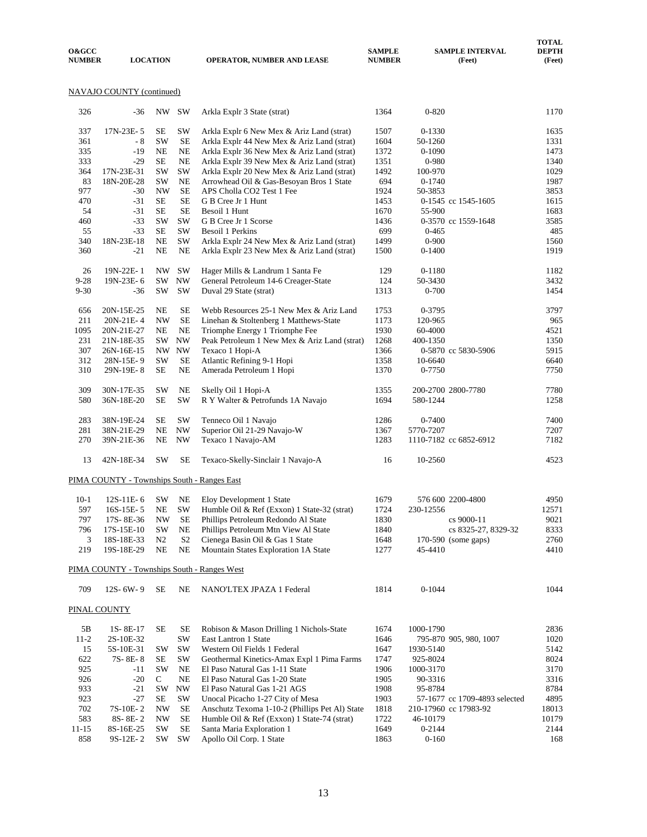| <b>O&amp;GCC</b><br><b>NUMBER</b> | <b>LOCATION</b>           |           |           | OPERATOR, NUMBER AND LEASE                   | <b>SAMPLE</b><br><b>NUMBER</b> | <b>SAMPLE INTERVAL</b><br>(Feet) | <b>TOTAL</b><br><b>DEPTH</b><br>(Feet) |
|-----------------------------------|---------------------------|-----------|-----------|----------------------------------------------|--------------------------------|----------------------------------|----------------------------------------|
|                                   | NAVAJO COUNTY (continued) |           |           |                                              |                                |                                  |                                        |
| 326                               | $-36$                     | NW        | <b>SW</b> | Arkla Explr 3 State (strat)                  | 1364                           | $0 - 820$                        | 1170                                   |
| 337                               | 17N-23E-5                 | <b>SE</b> | SW        | Arkla Explr 6 New Mex & Ariz Land (strat)    | 1507                           | 0-1330                           | 1635                                   |
| 361                               | - 8                       | <b>SW</b> | <b>SE</b> | Arkla Explr 44 New Mex & Ariz Land (strat)   | 1604                           | 50-1260                          | 1331                                   |
| 335                               | $-19$                     | <b>NE</b> | <b>NE</b> | Arkla Explr 36 New Mex & Ariz Land (strat)   | 1372                           | 0-1090                           | 1473                                   |
| 333                               | $-29$                     | <b>SE</b> | <b>NE</b> | Arkla Explr 39 New Mex & Ariz Land (strat)   | 1351                           | 0-980                            | 1340                                   |
| 364                               | 17N-23E-31                | SW        | <b>SW</b> | Arkla Explr 20 New Mex & Ariz Land (strat)   | 1492                           | 100-970                          | 1029                                   |
| 83                                | 18N-20E-28                | SW        | <b>NE</b> | Arrowhead Oil & Gas-Besoyan Bros 1 State     | 694                            | $0-1740$                         | 1987                                   |
| 977                               | $-30$                     | <b>NW</b> | <b>SE</b> | APS Cholla CO2 Test 1 Fee                    | 1924                           | 50-3853                          | 3853                                   |
| 470                               | $-31$                     | <b>SE</b> | <b>SE</b> | G B Cree Jr 1 Hunt                           | 1453                           | 0-1545 cc 1545-1605              | 1615                                   |
| 54                                | $-31$                     | <b>SE</b> | <b>SE</b> | Besoil 1 Hunt                                | 1670                           | 55-900                           | 1683                                   |
| 460                               | $-33$                     | <b>SW</b> | <b>SW</b> | G B Cree Jr 1 Scorse                         | 1436                           | 0-3570 cc 1559-1648              | 3585                                   |
| 55                                | $-33$                     | <b>SE</b> | SW        | <b>Besoil 1 Perkins</b>                      | 699                            | $0-465$                          | 485                                    |
| 340                               | 18N-23E-18                | <b>NE</b> | <b>SW</b> | Arkla Explr 24 New Mex & Ariz Land (strat)   | 1499                           | $0 - 900$                        | 1560                                   |
| 360                               | $-21$                     | <b>NE</b> | <b>NE</b> | Arkla Explr 23 New Mex & Ariz Land (strat)   | 1500                           | $0 - 1400$                       | 1919                                   |
| 26                                | 19N-22E-1                 | NW        | <b>SW</b> | Hager Mills & Landrum 1 Santa Fe             | 129                            | 0-1180                           | 1182                                   |
| $9 - 28$                          | 19N-23E-6                 | <b>SW</b> | <b>NW</b> | General Petroleum 14-6 Creager-State         | 124                            | 50-3430                          | 3432                                   |
| $9 - 30$                          | $-36$                     | <b>SW</b> | <b>SW</b> | Duval 29 State (strat)                       | 1313                           | $0 - 700$                        | 1454                                   |
| 656                               | 20N-15E-25                | <b>NE</b> | <b>SE</b> | Webb Resources 25-1 New Mex & Ariz Land      | 1753                           | 0-3795                           | 3797                                   |
| 211                               | 20N-21E-4                 | <b>NW</b> | <b>SE</b> | Linehan & Stoltenberg 1 Matthews-State       | 1173                           | 120-965                          | 965                                    |
| 1095                              | 20N-21E-27                | <b>NE</b> | <b>NE</b> | Triomphe Energy 1 Triomphe Fee               | 1930                           | 60-4000                          | 4521                                   |
| 231                               | 21N-18E-35                | SW        | <b>NW</b> | Peak Petroleum 1 New Mex & Ariz Land (strat) | 1268                           | 400-1350                         | 1350                                   |
| 307                               | 26N-16E-15                | NW        | <b>NW</b> | Texaco 1 Hopi-A                              | 1366                           | 0-5870 cc 5830-5906              | 5915                                   |
| 312                               | 28N-15E-9                 | SW        | <b>SE</b> | Atlantic Refining 9-1 Hopi                   | 1358                           | 10-6640                          | 6640                                   |

| $10-1$ |  | 12S-11E-6 SW NE Eloy Development 1 State                    | 1679 | 576 600 2200-4800     | 4950  |
|--------|--|-------------------------------------------------------------|------|-----------------------|-------|
| 597    |  | 16S-15E-5 NE SW Humble Oil & Ref (Exxon) 1 State-32 (strat) | 1724 | 230-12556             | 12571 |
| 797    |  | 17S-8E-36 NW SE Phillips Petroleum Redondo Al State         | 1830 | cs 9000-11            | 9021  |
|        |  | 796 17S-15E-10 SW NE Phillips Petroleum Mtn View Al State   | 1840 | cs 8325-27, 8329-32   | 8333  |
| 3      |  | 18S-18E-33 N2 S2 Cienega Basin Oil & Gas 1 State            | 1648 | $170-590$ (some gaps) | 2760  |
| 219    |  | 19S-18E-29 NE NE Mountain States Exploration 1A State       | 1277 | 45-4410               | 4410  |

310 29N-19E- 8 SE NE Amerada Petroleum 1 Hopi 1370 0-7750 7750

309 30N-17E-35 SW NE Skelly Oil 1 Hopi-A 1355 200-2700 2800-7780 7780

283 38N-19E-24 SE SW Tenneco Oil 1 Navajo 1286 0-7400 1281 38N-21E-29 NE NW Superior Oil 21-29 Navajo V 1367 5770-7207 207

 270 39N-21E-36 NE NW Texaco 1 Navajo-AM 1283 1110-7182 cc 6852-6912 7182 13 42N-18E-34 SW SE Texaco-Skelly-Sinclair 1 Navajo-A 16 10-2560 4523

R Y Walter & Petrofunds 1A Navajo

Superior Oil 21-29 Navajo-W

#### PIMA COUNTY - Townships South - Ranges West

PIMA COUNTY - Townships South - Ranges East

| 709 | $12S - 6W - 9$ | <b>SE</b> | NE.<br>the contract of the contract of the con- | NANO'LTEX JPAZA 1 Federal<br>the contract of the contract of the contract of the contract of the contract of | 1814<br>_____ | 1044 | 1044 |
|-----|----------------|-----------|-------------------------------------------------|--------------------------------------------------------------------------------------------------------------|---------------|------|------|
|     |                |           |                                                 |                                                                                                              |               |      |      |

### PINAL COUNTY

| 5B        | 1S-8E-17   | SЕ        | SE        | Robison & Mason Drilling 1 Nichols-State       | 1674 | 1000-1790                     | 2836  |
|-----------|------------|-----------|-----------|------------------------------------------------|------|-------------------------------|-------|
| $11-2$    | 2S-10E-32  |           | SW        | East Lantron 1 State                           | 1646 | 795-870 905, 980, 1007        | 1020  |
| 15        | 5S-10E-31  | <b>SW</b> | <b>SW</b> | Western Oil Fields 1 Federal                   | 1647 | 1930-5140                     | 5142  |
| 622       | 7S-8E-8    | SE        | <b>SW</b> | Geothermal Kinetics-Amax Expl 1 Pima Farms     | 1747 | 925-8024                      | 8024  |
| 925       | $-11$      | <b>SW</b> | NE.       | El Paso Natural Gas 1-11 State                 | 1906 | 1000-3170                     | 3170  |
| 926       | $-20$      | C         | NE.       | El Paso Natural Gas 1-20 State                 | 1905 | 90-3316                       | 3316  |
| 933       | $-21$      | <b>SW</b> | NW        | El Paso Natural Gas 1-21 AGS                   | 1908 | 95-8784                       | 8784  |
| 923       | $-27$      | SE        | <b>SW</b> | Unocal Picacho 1-27 City of Mesa               | 1903 | 57-1677 cc 1709-4893 selected | 4895  |
| 702       | $7S-10E-2$ | NW        | SE.       | Anschutz Texoma 1-10-2 (Phillips Pet Al) State | 1818 | 210-17960 cc 17983-92         | 18013 |
| 583       | $8S-8E-2$  | NW        | <b>SE</b> | Humble Oil & Ref (Exxon) 1 State-74 (strat)    | 1722 | 46-10179                      | 10179 |
| $11 - 15$ | 8S-16E-25  | <b>SW</b> | <b>SE</b> | Santa Maria Exploration 1                      | 1649 | $0 - 2144$                    | 2144  |
| 858       | $9S-12E-2$ | <b>SW</b> | <b>SW</b> | Apollo Oil Corp. 1 State                       | 1863 | $0 - 160$                     | 168   |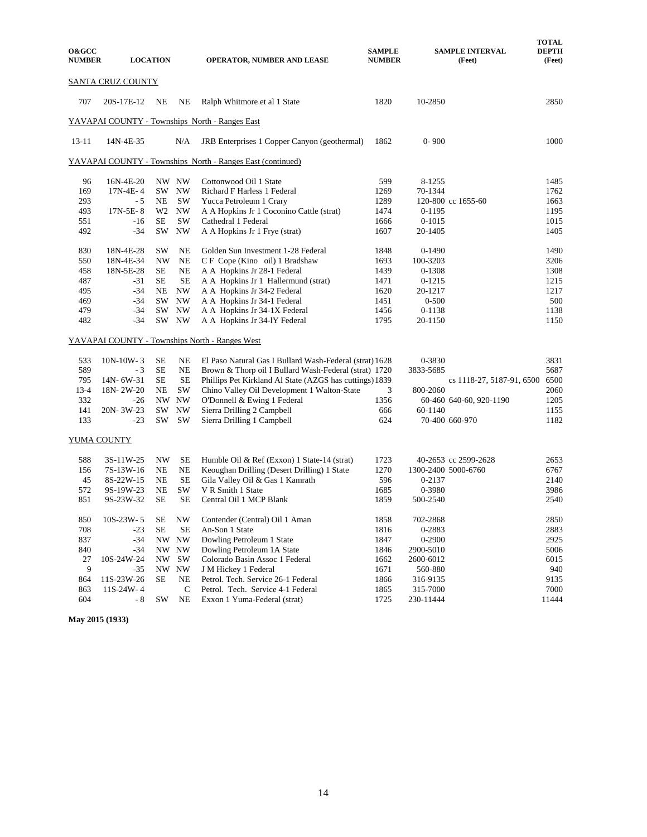| <b>O&amp;GCC</b><br><b>NUMBER</b> |                    | <b>LOCATION</b>          |                   | <b>OPERATOR, NUMBER AND LEASE</b>                          | <b>SAMPLE</b><br><b>NUMBER</b> |            | <b>SAMPLE INTERVAL</b><br>(Feet) | <b>TOTAL</b><br><b>DEPTH</b><br>(Feet) |
|-----------------------------------|--------------------|--------------------------|-------------------|------------------------------------------------------------|--------------------------------|------------|----------------------------------|----------------------------------------|
|                                   | SANTA CRUZ COUNTY  |                          |                   |                                                            |                                |            |                                  |                                        |
| 707                               | 20S-17E-12         | <b>NE</b>                | NE                | Ralph Whitmore et al 1 State                               | 1820                           | 10-2850    |                                  | 2850                                   |
|                                   |                    |                          |                   | YAVAPAI COUNTY - Townships North - Ranges East             |                                |            |                                  |                                        |
| $13 - 11$                         | 14N-4E-35          |                          | N/A               | JRB Enterprises 1 Copper Canyon (geothermal)               | 1862                           | $0 - 900$  |                                  | 1000                                   |
|                                   |                    |                          |                   | YAVAPAI COUNTY - Townships North - Ranges East (continued) |                                |            |                                  |                                        |
| 96                                | 16N-4E-20          |                          | NW NW             | Cottonwood Oil 1 State                                     | 599                            | 8-1255     |                                  | 1485                                   |
| 169                               | $17N-4E-4$         | SW                       | <b>NW</b>         | Richard F Harless 1 Federal                                | 1269                           | 70-1344    |                                  | 1762                                   |
| 293                               | - 5                | NE                       | <b>SW</b>         | Yucca Petroleum 1 Crary                                    | 1289                           |            | 120-800 cc 1655-60               | 1663                                   |
| 493                               | $17N-5E-8$         |                          | W <sub>2</sub> NW | A A Hopkins Jr 1 Coconino Cattle (strat)                   | 1474                           | 0-1195     |                                  | 1195                                   |
| 551                               | $-16$              | <b>SE</b>                | <b>SW</b>         | Cathedral 1 Federal                                        | 1666                           | $0 - 1015$ |                                  | 1015                                   |
| 492                               | $-34$              | SW                       | <b>NW</b>         | A A Hopkins Jr 1 Frye (strat)                              | 1607                           | 20-1405    |                                  | 1405                                   |
| 830                               | 18N-4E-28          | SW                       | NE                | Golden Sun Investment 1-28 Federal                         | 1848                           | $0-1490$   |                                  | 1490                                   |
| 550                               | 18N-4E-34          | <b>NW</b>                | <b>NE</b>         | C F Cope (Kino oil) 1 Bradshaw                             | 1693                           | 100-3203   |                                  | 3206                                   |
| 458                               | 18N-5E-28          | <b>SE</b>                | <b>NE</b>         | A A Hopkins Jr 28-1 Federal                                | 1439                           | 0-1308     |                                  | 1308                                   |
| 487                               | $-31$              | SЕ                       | <b>SE</b>         | A A Hopkins Jr 1 Hallermund (strat)                        | 1471                           | $0 - 1215$ |                                  | 1215                                   |
| 495                               | $-34$              | NE                       | <b>NW</b>         | A A Hopkins Jr 34-2 Federal                                | 1620                           | 20-1217    |                                  | 1217                                   |
| 469                               | $-34$              | SW                       | <b>NW</b>         | A A Hopkins Jr 34-1 Federal                                | 1451                           | $0 - 500$  |                                  | 500                                    |
| 479                               | $-34$              | SW                       | <b>NW</b>         | A A Hopkins Jr 34-1X Federal                               | 1456                           | $0 - 1138$ |                                  | 1138                                   |
| 482                               | $-34$              |                          | SW NW             | A A Hopkins Jr 34-1Y Federal                               | 1795                           | 20-1150    |                                  | 1150                                   |
|                                   |                    |                          |                   | <b>YAVAPAI COUNTY - Townships North - Ranges West</b>      |                                |            |                                  |                                        |
| 533                               | $10N-10W-3$        | <b>SE</b>                | NE                | El Paso Natural Gas I Bullard Wash-Federal (strat) 1628    |                                | 0-3830     |                                  | 3831                                   |
| 589                               | $-3$               | <b>SE</b>                | <b>NE</b>         | Brown & Thorp oil I Bullard Wash-Federal (strat) 1720      |                                | 3833-5685  |                                  | 5687                                   |
| 795                               | 14N-6W-31          | <b>SE</b>                | <b>SE</b>         | Phillips Pet Kirkland Al State (AZGS has cuttings) 1839    |                                |            | cs 1118-27, 5187-91, 6500        | 6500                                   |
| $13 - 4$                          | 18N-2W-20          | NE                       | <b>SW</b>         | Chino Valley Oil Development 1 Walton-State                | 3                              | 800-2060   |                                  | 2060                                   |
| 332                               | $-26$              | NW.                      | <b>NW</b>         | O'Donnell & Ewing 1 Federal                                | 1356                           |            | 60-460 640-60, 920-1190          | 1205                                   |
| 141                               | 20N-3W-23          | SW.                      | <b>NW</b>         | Sierra Drilling 2 Campbell                                 | 666                            | 60-1140    |                                  | 1155                                   |
| 133                               | $-23$              | SW                       | <b>SW</b>         | Sierra Drilling 1 Campbell                                 | 624                            |            | 70-400 660-970                   | 1182                                   |
|                                   | <b>YUMA COUNTY</b> |                          |                   |                                                            |                                |            |                                  |                                        |
| 588                               | 3S-11W-25          | <b>NW</b>                | SE                | Humble Oil & Ref (Exxon) 1 State-14 (strat)                | 1723                           |            | 40-2653 cc 2599-2628             | 2653                                   |
| 156                               | 7S-13W-16          | NE                       | NE                | Keoughan Drilling (Desert Drilling) 1 State                | 1270                           |            | 1300-2400 5000-6760              | 6767                                   |
| 45                                | 8S-22W-15          | NE                       | <b>SE</b>         | Gila Valley Oil & Gas 1 Kamrath                            | 596                            | 0-2137     |                                  | 2140                                   |
| 572                               | 9S-19W-23          | <b>NE</b>                | <b>SW</b>         | V R Smith 1 State                                          | 1685                           | 0-3980     |                                  | 3986                                   |
| 851                               | 9S-23W-32          | <b>SE</b>                | <b>SE</b>         | Central Oil 1 MCP Blank                                    | 1859                           | 500-2540   |                                  | 2540                                   |
|                                   |                    |                          |                   |                                                            |                                |            |                                  |                                        |
| 850                               | 10S-23W-5          | <b>SE</b>                | <b>NW</b>         | Contender (Central) Oil 1 Aman                             | 1858                           | 702-2868   |                                  | 2850                                   |
| 708                               | $-23$              | SE                       | <b>SE</b>         | An-Son 1 State                                             | 1816                           | 0-2883     |                                  | 2883                                   |
| 837                               | $-34$              | NW                       | <b>NW</b>         | Dowling Petroleum 1 State                                  | 1847                           | 0-2900     |                                  | 2925                                   |
| 840                               | $-34$              |                          | NW NW             | Dowling Petroleum 1A State                                 | 1846                           | 2900-5010  |                                  | 5006                                   |
| 27                                | 10S-24W-24         | $\ensuremath{\text{NW}}$ | <b>SW</b>         | Colorado Basin Assoc 1 Federal                             | 1662                           | 2600-6012  |                                  | 6015                                   |
| 9                                 | -35                |                          | NW NW             | J M Hickey 1 Federal                                       | 1671                           | 560-880    |                                  | 940                                    |
| 864                               | 11S-23W-26         | SE                       | NE                | Petrol. Tech. Service 26-1 Federal                         | 1866                           | 316-9135   |                                  | 9135                                   |
| 863                               | 11S-24W-4          |                          | $\mathbf C$       | Petrol. Tech. Service 4-1 Federal                          | 1865                           | 315-7000   |                                  | 7000                                   |
| 604                               | - 8                | SW                       | $_{\rm NE}$       | Exxon 1 Yuma-Federal (strat)                               | 1725                           | 230-11444  |                                  | 11444                                  |

**May 2015 (1933)**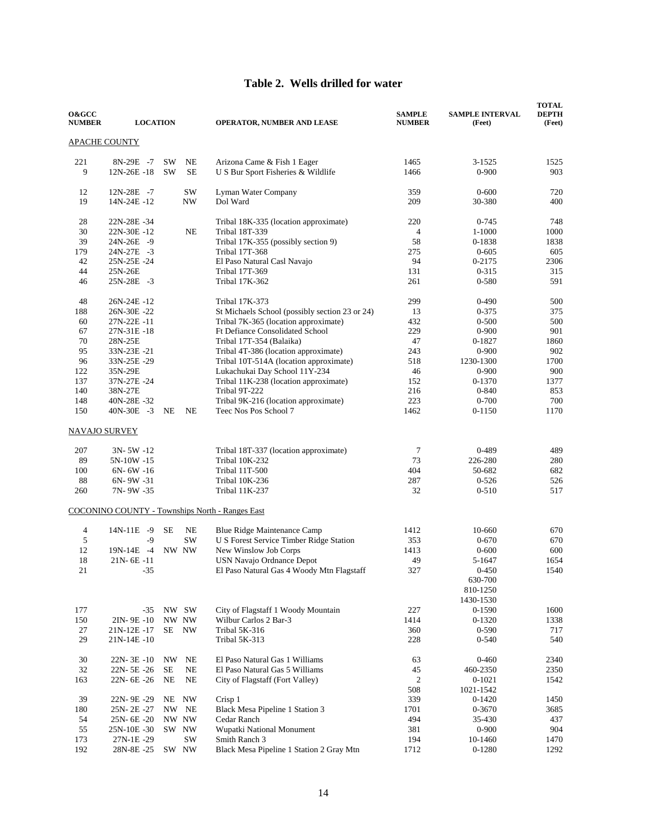### **Table 2. Wells drilled for water**

| <b>O&amp;GCC</b><br><b>NUMBER</b> | <b>LOCATION</b>          |           |             | <b>OPERATOR, NUMBER AND LEASE</b>                                       | <b>SAMPLE</b><br><b>NUMBER</b> | <b>SAMPLE INTERVAL</b><br>(Feet) | <b>TOTAL</b><br><b>DEPTH</b><br>(Feet) |
|-----------------------------------|--------------------------|-----------|-------------|-------------------------------------------------------------------------|--------------------------------|----------------------------------|----------------------------------------|
|                                   | <u>APACHE COUNTY</u>     |           |             |                                                                         |                                |                                  |                                        |
| 221                               | 8N-29E -7                | <b>SW</b> | NE          | Arizona Came & Fish 1 Eager                                             | 1465                           | 3-1525                           | 1525                                   |
| 9                                 | 12N-26E-18               | <b>SW</b> | <b>SE</b>   | U S Bur Sport Fisheries & Wildlife                                      | 1466                           | $0 - 900$                        | 903                                    |
| 12                                | 12N-28E -7               |           | SW          | Lyman Water Company                                                     | 359                            | $0 - 600$                        | 720                                    |
| 19                                | 14N-24E-12               |           | NW          | Dol Ward                                                                | 209                            | 30-380                           | 400                                    |
| 28                                | 22N-28E-34               |           |             | Tribal 18K-335 (location approximate)                                   | 220                            | $0 - 745$                        | 748                                    |
| 30                                | 22N-30E-12               |           | NE          | Tribal 18T-339                                                          | $\overline{4}$                 | 1-1000                           | 1000                                   |
| 39<br>179                         | 24N-26E -9<br>24N-27E -3 |           |             | Tribal 17K-355 (possibly section 9)<br><b>Tribal 17T-368</b>            | 58<br>275                      | 0-1838<br>$0 - 605$              | 1838<br>605                            |
| 42                                | 25N-25E-24               |           |             | El Paso Natural Casl Navajo                                             | 94                             | 0-2175                           | 2306                                   |
| 44                                | 25N-26E                  |           |             | Tribal 17T-369                                                          | 131                            | $0 - 315$                        | 315                                    |
| 46                                | 25N-28E -3               |           |             | Tribal 17K-362                                                          | 261                            | 0-580                            | 591                                    |
| 48                                | 26N-24E -12              |           |             | Tribal 17K-373                                                          | 299                            | $0 - 490$                        | 500                                    |
| 188                               | 26N-30E-22               |           |             | St Michaels School (possibly section 23 or 24)                          | 13                             | $0 - 375$                        | 375                                    |
| 60                                | 27N-22E-11               |           |             | Tribal 7K-365 (location approximate)                                    | 432                            | $0 - 500$                        | 500                                    |
| 67                                | 27N-31E-18               |           |             | <b>Ft Defiance Consolidated School</b>                                  | 229                            | $0 - 900$                        | 901                                    |
| 70                                | 28N-25E                  |           |             | Tribal 17T-354 (Balaika)                                                | 47                             | 0-1827                           | 1860                                   |
| 95<br>96                          | 33N-23E-21               |           |             | Tribal 4T-386 (location approximate)                                    | 243                            | $0 - 900$                        | 902                                    |
| 122                               | 33N-25E-29<br>35N-29E    |           |             | Tribal 10T-514A (location approximate)<br>Lukachukai Day School 11Y-234 | 518<br>46                      | 1230-1300<br>$0 - 900$           | 1700<br>900                            |
| 137                               | 37N-27E-24               |           |             | Tribal 11K-238 (location approximate)                                   | 152                            | 0-1370                           | 1377                                   |
| 140                               | 38N-27E                  |           |             | Tribal 9T-222                                                           | 216                            | $0 - 840$                        | 853                                    |
| 148                               | 40N-28E-32               |           |             | Tribal 9K-216 (location approximate)                                    | 223                            | $0 - 700$                        | 700                                    |
| 150                               | $40N-30E -3$             | NE        | <b>NE</b>   | Teec Nos Pos School 7                                                   | 1462                           | $0 - 1150$                       | 1170                                   |
|                                   | NAVAJO SURVEY            |           |             |                                                                         |                                |                                  |                                        |
| 207                               | $3N - 5W - 12$           |           |             | Tribal 18T-337 (location approximate)                                   | $\tau$                         | 0-489                            | 489                                    |
| 89                                | 5N-10W -15               |           |             | <b>Tribal 10K-232</b>                                                   | 73                             | 226-280                          | 280                                    |
| 100                               | $6N - 6W - 16$           |           |             | Tribal 11T-500                                                          | 404                            | 50-682                           | 682                                    |
| 88                                | 6N-9W-31                 |           |             | Tribal 10K-236                                                          | 287                            | $0 - 526$                        | 526                                    |
| 260                               | 7N-9W-35                 |           |             | Tribal 11K-237                                                          | 32                             | $0 - 510$                        | 517                                    |
|                                   |                          |           |             | COCONINO COUNTY - Townships North - Ranges East                         |                                |                                  |                                        |
| 4                                 | 14N-11E -9               | SE        | NE          | Blue Ridge Maintenance Camp                                             | 1412                           | 10-660                           | 670                                    |
| 5                                 | $-9$                     |           | SW          | <b>U S Forest Service Timber Ridge Station</b>                          | 353                            | $0 - 670$                        | 670                                    |
| 12                                | 19N-14E -4               |           | NW NW       | New Winslow Job Corps                                                   | 1413                           | $0 - 600$                        | 600                                    |
| 18                                | $21N - 6E - 11$          |           |             | <b>USN Navajo Ordnance Depot</b>                                        | 49                             | 5-1647                           | 1654                                   |
| 21                                | -35                      |           |             | El Paso Natural Gas 4 Woody Mtn Flagstaff                               | 327                            | $0 - 450$<br>630-700             | 1540                                   |
|                                   |                          |           |             |                                                                         |                                | 810-1250                         |                                        |
|                                   |                          |           |             |                                                                         |                                | 1430-1530                        |                                        |
| 177                               | $-35$                    |           | NW SW       | City of Flagstaff 1 Woody Mountain                                      | 227                            | 0-1590                           | 1600                                   |
| 150                               | 2IN-9E-10                |           | NW NW       | Wilbur Carlos 2 Bar-3                                                   | 1414                           | 0-1320                           | 1338                                   |
| 27                                | 21N-12E-17               | SE        | NW          | Tribal 5K-316                                                           | 360                            | $0 - 590$                        | 717                                    |
| 29                                | 21N-14E-10               |           |             | Tribal 5K-313                                                           | 228                            | $0 - 540$                        | 540                                    |
| 30                                | 22N-3E-10                | NW        | $_{\rm NE}$ | El Paso Natural Gas 1 Williams                                          | 63                             | $0 - 460$                        | 2340                                   |
| 32                                | 22N-5E-26                | SE        | NE          | El Paso Natural Gas 5 Williams                                          | 45                             | 460-2350                         | 2350                                   |
| 163                               | 22N-6E-26                | NE        | NE          | City of Flagstaff (Fort Valley)                                         | 2                              | $0 - 1021$                       | 1542                                   |
| 39                                |                          |           |             | Crisp 1                                                                 | 508                            | 1021-1542                        |                                        |
| 180                               | 22N-9E-29<br>25N-2E-27   | NW        | NE NW<br>NE | Black Mesa Pipeline 1 Station 3                                         | 339<br>1701                    | $0-1420$<br>0-3670               | 1450<br>3685                           |
| 54                                | $25N - 6E - 20$          |           | NW NW       | Cedar Ranch                                                             | 494                            | 35-430                           | 437                                    |
| 55                                | 25N-10E-30               |           | SW NW       | Wupatki National Monument                                               | 381                            | $0 - 900$                        | 904                                    |
| 173                               | 27N-1E-29                |           | SW          | Smith Ranch 3                                                           | 194                            | 10-1460                          | 1470                                   |
| 192                               | 28N-8E-25                |           | SW NW       | Black Mesa Pipeline 1 Station 2 Gray Mtn                                | 1712                           | $0-1280$                         | 1292                                   |